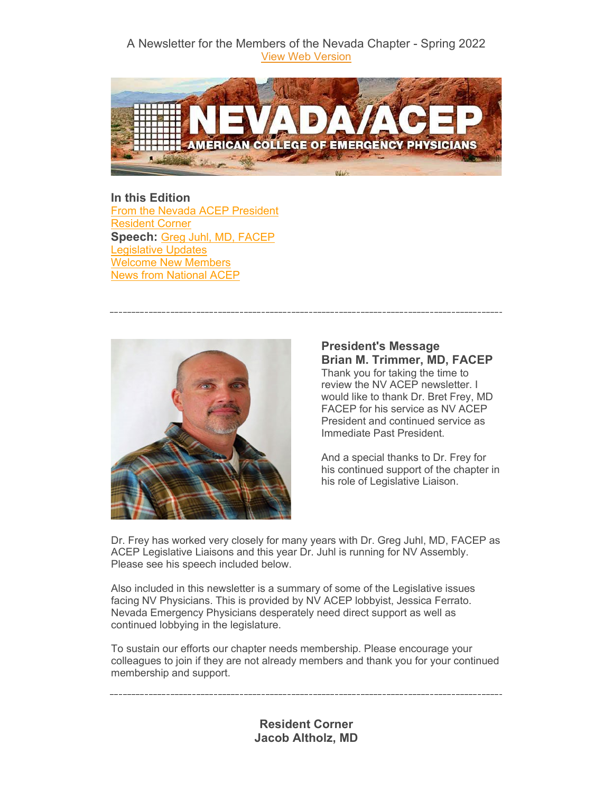### A Newsletter for the Members of the Nevada Chapter - Spring 2022 [View Web Version](https://elink.clickdimensions.com/m/1/61309708/02-b22145-9f449f2350f04b698e6be000cbfeeaa0/1/200/2202352d-1591-49c8-8068-669547cc4e94)



**In this Edition** [From the Nevada ACEP President](#page-0-0) [Resident Corner](#page-0-1) **Speech:** [Greg Juhl, MD, FACEP](#page-1-0) [Legislative Updates](#page-2-0) [Welcome New Members](#page-3-0) [News from National ACEP](#page-4-0)



<span id="page-0-0"></span>**President's Message Brian M. Trimmer, MD, FACEP** Thank you for taking the time to review the NV ACEP newsletter. I would like to thank Dr. Bret Frey, MD FACEP for his service as NV ACEP President and continued service as Immediate Past President.

And a special thanks to Dr. Frey for his continued support of the chapter in his role of Legislative Liaison.

Dr. Frey has worked very closely for many years with Dr. Greg Juhl, MD, FACEP as ACEP Legislative Liaisons and this year Dr. Juhl is running for NV Assembly. Please see his speech included below.

Also included in this newsletter is a summary of some of the Legislative issues facing NV Physicians. This is provided by NV ACEP lobbyist, Jessica Ferrato. Nevada Emergency Physicians desperately need direct support as well as continued lobbying in the legislature.

To sustain our efforts our chapter needs membership. Please encourage your colleagues to join if they are not already members and thank you for your continued membership and support.

> <span id="page-0-1"></span>**Resident Corner Jacob Altholz, MD**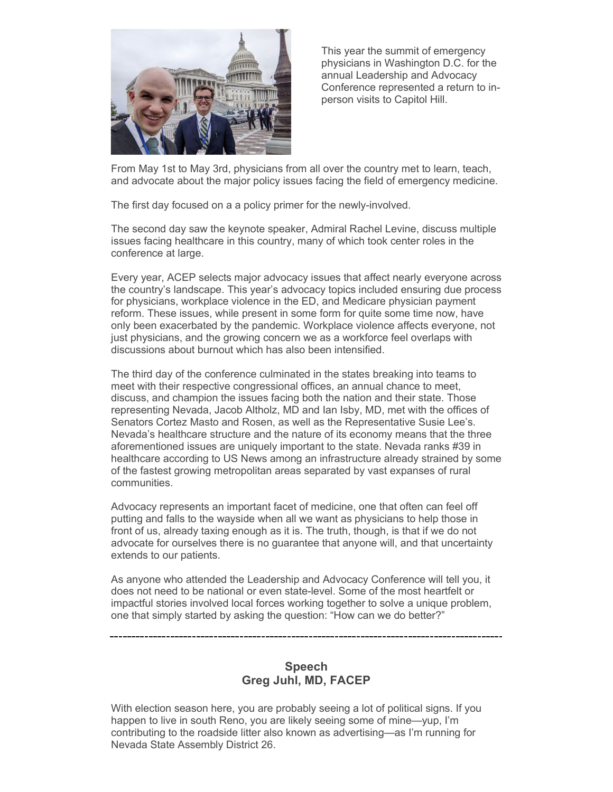

This year the summit of emergency physicians in Washington D.C. for the annual Leadership and Advocacy Conference represented a return to inperson visits to Capitol Hill.

From May 1st to May 3rd, physicians from all over the country met to learn, teach, and advocate about the major policy issues facing the field of emergency medicine.

The first day focused on a a policy primer for the newly-involved.

The second day saw the keynote speaker, Admiral Rachel Levine, discuss multiple issues facing healthcare in this country, many of which took center roles in the conference at large.

Every year, ACEP selects major advocacy issues that affect nearly everyone across the country's landscape. This year's advocacy topics included ensuring due process for physicians, workplace violence in the ED, and Medicare physician payment reform. These issues, while present in some form for quite some time now, have only been exacerbated by the pandemic. Workplace violence affects everyone, not just physicians, and the growing concern we as a workforce feel overlaps with discussions about burnout which has also been intensified.

The third day of the conference culminated in the states breaking into teams to meet with their respective congressional offices, an annual chance to meet, discuss, and champion the issues facing both the nation and their state. Those representing Nevada, Jacob Altholz, MD and Ian Isby, MD, met with the offices of Senators Cortez Masto and Rosen, as well as the Representative Susie Lee's. Nevada's healthcare structure and the nature of its economy means that the three aforementioned issues are uniquely important to the state. Nevada ranks #39 in healthcare according to US News among an infrastructure already strained by some of the fastest growing metropolitan areas separated by vast expanses of rural communities.

Advocacy represents an important facet of medicine, one that often can feel off putting and falls to the wayside when all we want as physicians to help those in front of us, already taxing enough as it is. The truth, though, is that if we do not advocate for ourselves there is no guarantee that anyone will, and that uncertainty extends to our patients.

As anyone who attended the Leadership and Advocacy Conference will tell you, it does not need to be national or even state-level. Some of the most heartfelt or impactful stories involved local forces working together to solve a unique problem, one that simply started by asking the question: "How can we do better?"

> <span id="page-1-0"></span>**Speech Greg Juhl, MD, FACEP**

With election season here, you are probably seeing a lot of political signs. If you happen to live in south Reno, you are likely seeing some of mine—yup, I'm contributing to the roadside litter also known as advertising—as I'm running for Nevada State Assembly District 26.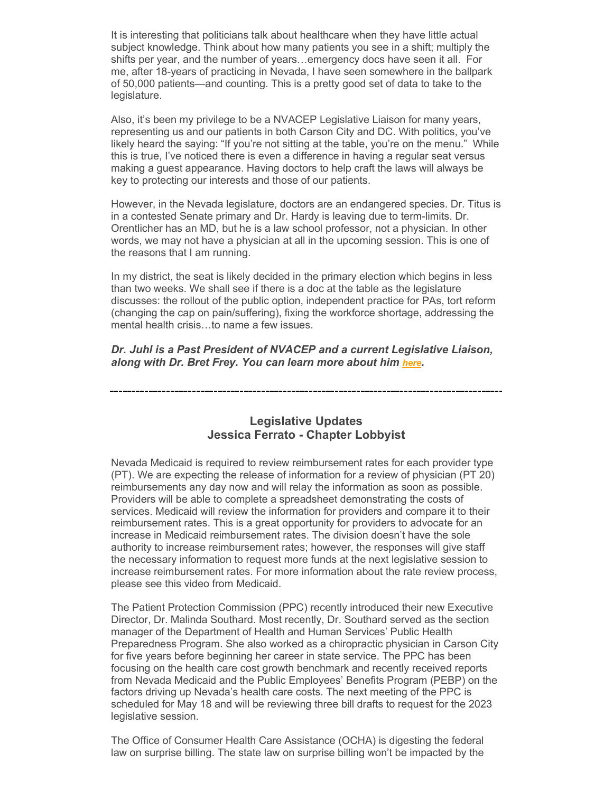It is interesting that politicians talk about healthcare when they have little actual subject knowledge. Think about how many patients you see in a shift; multiply the shifts per year, and the number of years…emergency docs have seen it all. For me, after 18-years of practicing in Nevada, I have seen somewhere in the ballpark of 50,000 patients—and counting. This is a pretty good set of data to take to the legislature.

Also, it's been my privilege to be a NVACEP Legislative Liaison for many years, representing us and our patients in both Carson City and DC. With politics, you've likely heard the saying: "If you're not sitting at the table, you're on the menu." While this is true, I've noticed there is even a difference in having a regular seat versus making a guest appearance. Having doctors to help craft the laws will always be key to protecting our interests and those of our patients.

However, in the Nevada legislature, doctors are an endangered species. Dr. Titus is in a contested Senate primary and Dr. Hardy is leaving due to term-limits. Dr. Orentlicher has an MD, but he is a law school professor, not a physician. In other words, we may not have a physician at all in the upcoming session. This is one of the reasons that I am running.

In my district, the seat is likely decided in the primary election which begins in less than two weeks. We shall see if there is a doc at the table as the legislature discusses: the rollout of the public option, independent practice for PAs, tort reform (changing the cap on pain/suffering), fixing the workforce shortage, addressing the mental health crisis…to name a few issues.

*Dr. Juhl is a Past President of NVACEP and a current Legislative Liaison, along with Dr. Bret Frey. You can learn more about him [here.](https://elink.clickdimensions.com/c/7/eyJhaSI6NjEzMDk3MDgsImUiOiJhYWx2YXJlekBhY2VwLm9yZyIsInJpIjoiY29udGFjdC01OTdmYTFkMmRkMjNlMDExYTEwNTAwNTA1NmFlMjc4Zi05ZjYzOGYzZjc2MGQ0ZTM4YWFhOGQ0Njg3OGQxMjljOCIsInJxIjoiMDItYjIyMTQ1LTlmNDQ5ZjIzNTBmMDRiNjk4ZTZiZTAwMGNiZmVlYWEwIiwicGgiOm51bGwsIm0iOmZhbHNlLCJ1aSI6IjIiLCJ1biI6IlByZXNpZGVudCIsInUiOiJ3d3cuZ3JlZ2p1aGwuY29tP19jbGRlZT1BOUk1X0dyVW4tRUtucllIM3BDSTlxdTA5MWlaY3FjSmptNlBOdC14UjV5dkpWNm91QW9mYXk4ZUc1UUl6SmFDJnJlY2lwaWVudGlkPWNvbnRhY3QtNTk3ZmExZDJkZDIzZTAxMWExMDUwMDUwNTZhZTI3OGYtOWY2MzhmM2Y3NjBkNGUzOGFhYThkNDY4NzhkMTI5YzgmZXNpZD0xMjRiOTI2Yy00Y2RjLWVjMTEtYTlkMC1jNzBiNTFiYmEzYWIifQ/pqrNFnR1ONSrGHvFLlBopw)*

### <span id="page-2-0"></span>**Legislative Updates Jessica Ferrato - Chapter Lobbyist**

Nevada Medicaid is required to review reimbursement rates for each provider type (PT). We are expecting the release of information for a review of physician (PT 20) reimbursements any day now and will relay the information as soon as possible. Providers will be able to complete a spreadsheet demonstrating the costs of services. Medicaid will review the information for providers and compare it to their reimbursement rates. This is a great opportunity for providers to advocate for an increase in Medicaid reimbursement rates. The division doesn't have the sole authority to increase reimbursement rates; however, the responses will give staff the necessary information to request more funds at the next legislative session to increase reimbursement rates. For more information about the rate review process, please see this video from Medicaid.

The Patient Protection Commission (PPC) recently introduced their new Executive Director, Dr. Malinda Southard. Most recently, Dr. Southard served as the section manager of the Department of Health and Human Services' Public Health Preparedness Program. She also worked as a chiropractic physician in Carson City for five years before beginning her career in state service. The PPC has been focusing on the health care cost growth benchmark and recently received reports from Nevada Medicaid and the Public Employees' Benefits Program (PEBP) on the factors driving up Nevada's health care costs. The next meeting of the PPC is scheduled for May 18 and will be reviewing three bill drafts to request for the 2023 legislative session.

The Office of Consumer Health Care Assistance (OCHA) is digesting the federal law on surprise billing. The state law on surprise billing won't be impacted by the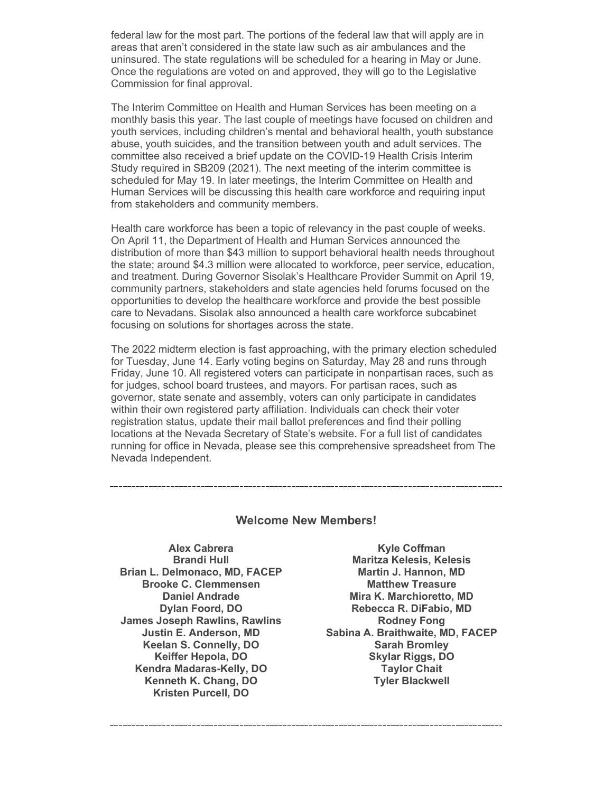federal law for the most part. The portions of the federal law that will apply are in areas that aren't considered in the state law such as air ambulances and the uninsured. The state regulations will be scheduled for a hearing in May or June. Once the regulations are voted on and approved, they will go to the Legislative Commission for final approval.

The Interim Committee on Health and Human Services has been meeting on a monthly basis this year. The last couple of meetings have focused on children and youth services, including children's mental and behavioral health, youth substance abuse, youth suicides, and the transition between youth and adult services. The committee also received a brief update on the COVID-19 Health Crisis Interim Study required in SB209 (2021). The next meeting of the interim committee is scheduled for May 19. In later meetings, the Interim Committee on Health and Human Services will be discussing this health care workforce and requiring input from stakeholders and community members.

Health care workforce has been a topic of relevancy in the past couple of weeks. On April 11, the Department of Health and Human Services announced the distribution of more than \$43 million to support behavioral health needs throughout the state; around \$4.3 million were allocated to workforce, peer service, education, and treatment. During Governor Sisolak's Healthcare Provider Summit on April 19, community partners, stakeholders and state agencies held forums focused on the opportunities to develop the healthcare workforce and provide the best possible care to Nevadans. Sisolak also announced a health care workforce subcabinet focusing on solutions for shortages across the state.

The 2022 midterm election is fast approaching, with the primary election scheduled for Tuesday, June 14. Early voting begins on Saturday, May 28 and runs through Friday, June 10. All registered voters can participate in nonpartisan races, such as for judges, school board trustees, and mayors. For partisan races, such as governor, state senate and assembly, voters can only participate in candidates within their own registered party affiliation. Individuals can check their voter registration status, update their mail ballot preferences and find their polling locations at the Nevada Secretary of State's website. For a full list of candidates running for office in Nevada, please see this comprehensive spreadsheet from The Nevada Independent.

#### **Welcome New Members!**

**Alex Cabrera Brandi Hull Brian L. Delmonaco, MD, FACEP Brooke C. Clemmensen Daniel Andrade Dylan Foord, DO James Joseph Rawlins, Rawlins Justin E. Anderson, MD Keelan S. Connelly, DO Keiffer Hepola, DO Kendra Madaras-Kelly, DO Kenneth K. Chang, DO Kristen Purcell, DO**

<span id="page-3-0"></span>**Kyle Coffman Maritza Kelesis, Kelesis Martin J. Hannon, MD Matthew Treasure Mira K. Marchioretto, MD Rebecca R. DiFabio, MD Rodney Fong Sabina A. Braithwaite, MD, FACEP Sarah Bromley Skylar Riggs, DO Taylor Chait Tyler Blackwell**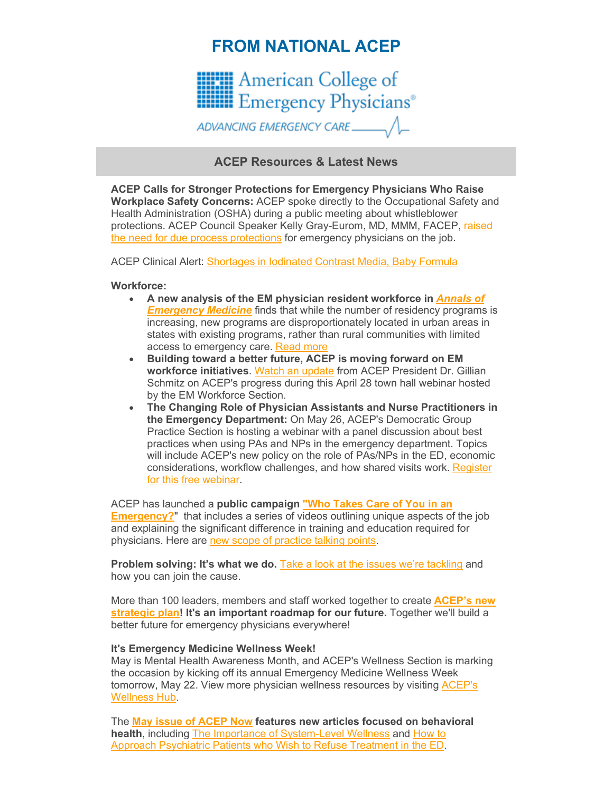# <span id="page-4-0"></span>**FROM NATIONAL ACEP**



# **ACEP Resources & Latest News**

**ACEP Calls for Stronger Protections for Emergency Physicians Who Raise Workplace Safety Concerns:** ACEP spoke directly to the Occupational Safety and Health Administration (OSHA) during a public meeting about whistleblower protections. ACEP Council Speaker Kelly Gray-Eurom, MD, MMM, FACEP, [raised](https://elink.clickdimensions.com/c/7/eyJhaSI6NjEzMDk3MDgsImUiOiJhYWx2YXJlekBhY2VwLm9yZyIsInJpIjoiY29udGFjdC01OTdmYTFkMmRkMjNlMDExYTEwNTAwNTA1NmFlMjc4Zi05ZjYzOGYzZjc2MGQ0ZTM4YWFhOGQ0Njg3OGQxMjljOCIsInJxIjoiMDItYjIyMTQ1LTlmNDQ5ZjIzNTBmMDRiNjk4ZTZiZTAwMGNiZmVlYWEwIiwicGgiOm51bGwsIm0iOmZhbHNlLCJ1aSI6IjUiLCJ1biI6IiIsInUiOiJodHRwczovL3d3dy5hY2VwLm9yZy9ob21lLXBhZ2UtcmVkaXJlY3RzL2xhdGVzdC1uZXdzL2FjZXAtY2FsbHMtZm9yLXN0cm9uZ2VyLXByb3RlY3Rpb25zLWZvci1lbWVyZ2VuY3ktcGh5c2ljaWFucy13aG8tcmFpc2Utd29ya3BsYWNlLXNhZmV0eS1jb25jZXJucy8_X2NsZGVlPUE5STVfR3JVbi1FS25yWUgzcENJOXF1MDkxaVpjcWNKam02UE50LXhSNXl2SlY2b3VBb2ZheThlRzVRSXpKYUMmcmVjaXBpZW50aWQ9Y29udGFjdC01OTdmYTFkMmRkMjNlMDExYTEwNTAwNTA1NmFlMjc4Zi05ZjYzOGYzZjc2MGQ0ZTM4YWFhOGQ0Njg3OGQxMjljOCZlc2lkPTEyNGI5MjZjLTRjZGMtZWMxMS1hOWQwLWM3MGI1MWJiYTNhYiJ9/LYaseArVC-hjQkRawI7Cjw)  [the need for due process protections](https://elink.clickdimensions.com/c/7/eyJhaSI6NjEzMDk3MDgsImUiOiJhYWx2YXJlekBhY2VwLm9yZyIsInJpIjoiY29udGFjdC01OTdmYTFkMmRkMjNlMDExYTEwNTAwNTA1NmFlMjc4Zi05ZjYzOGYzZjc2MGQ0ZTM4YWFhOGQ0Njg3OGQxMjljOCIsInJxIjoiMDItYjIyMTQ1LTlmNDQ5ZjIzNTBmMDRiNjk4ZTZiZTAwMGNiZmVlYWEwIiwicGgiOm51bGwsIm0iOmZhbHNlLCJ1aSI6IjUiLCJ1biI6IiIsInUiOiJodHRwczovL3d3dy5hY2VwLm9yZy9ob21lLXBhZ2UtcmVkaXJlY3RzL2xhdGVzdC1uZXdzL2FjZXAtY2FsbHMtZm9yLXN0cm9uZ2VyLXByb3RlY3Rpb25zLWZvci1lbWVyZ2VuY3ktcGh5c2ljaWFucy13aG8tcmFpc2Utd29ya3BsYWNlLXNhZmV0eS1jb25jZXJucy8_X2NsZGVlPUE5STVfR3JVbi1FS25yWUgzcENJOXF1MDkxaVpjcWNKam02UE50LXhSNXl2SlY2b3VBb2ZheThlRzVRSXpKYUMmcmVjaXBpZW50aWQ9Y29udGFjdC01OTdmYTFkMmRkMjNlMDExYTEwNTAwNTA1NmFlMjc4Zi05ZjYzOGYzZjc2MGQ0ZTM4YWFhOGQ0Njg3OGQxMjljOCZlc2lkPTEyNGI5MjZjLTRjZGMtZWMxMS1hOWQwLWM3MGI1MWJiYTNhYiJ9/LYaseArVC-hjQkRawI7Cjw) for emergency physicians on the job.

ACEP Clinical Alert: [Shortages in Iodinated Contrast Media, Baby Formula](https://elink.clickdimensions.com/c/7/eyJhaSI6NjEzMDk3MDgsImUiOiJhYWx2YXJlekBhY2VwLm9yZyIsInJpIjoiY29udGFjdC01OTdmYTFkMmRkMjNlMDExYTEwNTAwNTA1NmFlMjc4Zi05ZjYzOGYzZjc2MGQ0ZTM4YWFhOGQ0Njg3OGQxMjljOCIsInJxIjoiMDItYjIyMTQ1LTlmNDQ5ZjIzNTBmMDRiNjk4ZTZiZTAwMGNiZmVlYWEwIiwicGgiOm51bGwsIm0iOmZhbHNlLCJ1aSI6IjYiLCJ1biI6IiIsInUiOiJodHRwczovL3d3dy5hY2VwLm9yZy9ob21lLXBhZ2UtcmVkaXJlY3RzL2xhdGVzdC1uZXdzL2NsaW5pY2FsLWFsZXJ0LXNob3J0YWdlcy1pbi1pb2RpbmF0ZWQtY29udHJhc3QtbWVkaWEtYmFieS1mb3JtdWxhLz9fY2xkZWU9QTlJNV9HclVuLUVLbnJZSDNwQ0k5cXUwOTFpWmNxY0pqbTZQTnQteFI1eXZKVjZvdUFvZmF5OGVHNVFJekphQyZyZWNpcGllbnRpZD1jb250YWN0LTU5N2ZhMWQyZGQyM2UwMTFhMTA1MDA1MDU2YWUyNzhmLTlmNjM4ZjNmNzYwZDRlMzhhYWE4ZDQ2ODc4ZDEyOWM4JmVzaWQ9MTI0YjkyNmMtNGNkYy1lYzExLWE5ZDAtYzcwYjUxYmJhM2FiIn0/opn54FbTnAzPlL5pcUqQ1Q)

#### **Workforce:**

- **A new analysis of the EM physician resident workforce in** *[Annals of](https://elink.clickdimensions.com/c/7/eyJhaSI6NjEzMDk3MDgsImUiOiJhYWx2YXJlekBhY2VwLm9yZyIsInJpIjoiY29udGFjdC01OTdmYTFkMmRkMjNlMDExYTEwNTAwNTA1NmFlMjc4Zi05ZjYzOGYzZjc2MGQ0ZTM4YWFhOGQ0Njg3OGQxMjljOCIsInJxIjoiMDItYjIyMTQ1LTlmNDQ5ZjIzNTBmMDRiNjk4ZTZiZTAwMGNiZmVlYWEwIiwicGgiOm51bGwsIm0iOmZhbHNlLCJ1aSI6IjciLCJ1biI6IiIsInUiOiJodHRwczovL3d3dy5hbm5lbWVyZ21lZC5jb20vYXJ0aWNsZS9TMDE5Ni0wNjQ0KDIyKTAwMTg2LVgvZnVsbHRleHQ_X2NsZGVlPUE5STVfR3JVbi1FS25yWUgzcENJOXF1MDkxaVpjcWNKam02UE50LXhSNXl2SlY2b3VBb2ZheThlRzVRSXpKYUMmcmVjaXBpZW50aWQ9Y29udGFjdC01OTdmYTFkMmRkMjNlMDExYTEwNTAwNTA1NmFlMjc4Zi05ZjYzOGYzZjc2MGQ0ZTM4YWFhOGQ0Njg3OGQxMjljOCZlc2lkPTEyNGI5MjZjLTRjZGMtZWMxMS1hOWQwLWM3MGI1MWJiYTNhYiJ9/BZZhyIsLP41_Dl889aRtWg)  [Emergency Medicine](https://elink.clickdimensions.com/c/7/eyJhaSI6NjEzMDk3MDgsImUiOiJhYWx2YXJlekBhY2VwLm9yZyIsInJpIjoiY29udGFjdC01OTdmYTFkMmRkMjNlMDExYTEwNTAwNTA1NmFlMjc4Zi05ZjYzOGYzZjc2MGQ0ZTM4YWFhOGQ0Njg3OGQxMjljOCIsInJxIjoiMDItYjIyMTQ1LTlmNDQ5ZjIzNTBmMDRiNjk4ZTZiZTAwMGNiZmVlYWEwIiwicGgiOm51bGwsIm0iOmZhbHNlLCJ1aSI6IjciLCJ1biI6IiIsInUiOiJodHRwczovL3d3dy5hbm5lbWVyZ21lZC5jb20vYXJ0aWNsZS9TMDE5Ni0wNjQ0KDIyKTAwMTg2LVgvZnVsbHRleHQ_X2NsZGVlPUE5STVfR3JVbi1FS25yWUgzcENJOXF1MDkxaVpjcWNKam02UE50LXhSNXl2SlY2b3VBb2ZheThlRzVRSXpKYUMmcmVjaXBpZW50aWQ9Y29udGFjdC01OTdmYTFkMmRkMjNlMDExYTEwNTAwNTA1NmFlMjc4Zi05ZjYzOGYzZjc2MGQ0ZTM4YWFhOGQ0Njg3OGQxMjljOCZlc2lkPTEyNGI5MjZjLTRjZGMtZWMxMS1hOWQwLWM3MGI1MWJiYTNhYiJ9/BZZhyIsLP41_Dl889aRtWg)* finds that while the number of residency programs is increasing, new programs are disproportionately located in urban areas in states with existing programs, rather than rural communities with limited access to emergency care. [Read more](https://elink.clickdimensions.com/c/7/eyJhaSI6NjEzMDk3MDgsImUiOiJhYWx2YXJlekBhY2VwLm9yZyIsInJpIjoiY29udGFjdC01OTdmYTFkMmRkMjNlMDExYTEwNTAwNTA1NmFlMjc4Zi05ZjYzOGYzZjc2MGQ0ZTM4YWFhOGQ0Njg3OGQxMjljOCIsInJxIjoiMDItYjIyMTQ1LTlmNDQ5ZjIzNTBmMDRiNjk4ZTZiZTAwMGNiZmVlYWEwIiwicGgiOm51bGwsIm0iOmZhbHNlLCJ1aSI6IjgiLCJ1biI6IiIsInUiOiJodHRwczovL3d3dy5lbWVyZ2VuY3lwaHlzaWNpYW5zLm9yZy9wcmVzcy1yZWxlYXNlcy8yMDIyLzUtMTItMjItdW5ldmVuLWRpc3RyaWJ1dGlvbi1vZi1lbWVyZ2VuY3ktcGh5c2ljaWFuLXJlc2lkZW5jeS1wcm9ncmFtcy1jYW4taW1wYWN0LXdvcmtmb3JjZS1jaGFsbGVuZ2VzLW5ldy1hbmFseXNpcy1maW5kcz9fY2xkZWU9QTlJNV9HclVuLUVLbnJZSDNwQ0k5cXUwOTFpWmNxY0pqbTZQTnQteFI1eXZKVjZvdUFvZmF5OGVHNVFJekphQyZyZWNpcGllbnRpZD1jb250YWN0LTU5N2ZhMWQyZGQyM2UwMTFhMTA1MDA1MDU2YWUyNzhmLTlmNjM4ZjNmNzYwZDRlMzhhYWE4ZDQ2ODc4ZDEyOWM4JmVzaWQ9MTI0YjkyNmMtNGNkYy1lYzExLWE5ZDAtYzcwYjUxYmJhM2FiIn0/ucLtxeXSn9CvTIkkcpE2Gg)
- **Building toward a better future, ACEP is moving forward on EM workforce initiatives**. [Watch an update](https://elink.clickdimensions.com/c/7/eyJhaSI6NjEzMDk3MDgsImUiOiJhYWx2YXJlekBhY2VwLm9yZyIsInJpIjoiY29udGFjdC01OTdmYTFkMmRkMjNlMDExYTEwNTAwNTA1NmFlMjc4Zi05ZjYzOGYzZjc2MGQ0ZTM4YWFhOGQ0Njg3OGQxMjljOCIsInJxIjoiMDItYjIyMTQ1LTlmNDQ5ZjIzNTBmMDRiNjk4ZTZiZTAwMGNiZmVlYWEwIiwicGgiOm51bGwsIm0iOmZhbHNlLCJ1aSI6IjkiLCJ1biI6IiIsInUiOiJodHRwczovL3d3dy5hY2VwLm9yZy9saWZlLWFzLWEtcGh5c2ljaWFuL3dvcmtmb3JjZS93b3JrZm9yY2UtdmlkZW9zL3dvcmtmb3JjZS1taW51dGUtdmlkZW9zL2VtLXdvcmtmb3JjZS1zZWN0aW9uLXRvd24taGFsbC0tLWFwcmlsLTMwLTIwMjIvP19jbGRlZT1BOUk1X0dyVW4tRUtucllIM3BDSTlxdTA5MWlaY3FjSmptNlBOdC14UjV5dkpWNm91QW9mYXk4ZUc1UUl6SmFDJnJlY2lwaWVudGlkPWNvbnRhY3QtNTk3ZmExZDJkZDIzZTAxMWExMDUwMDUwNTZhZTI3OGYtOWY2MzhmM2Y3NjBkNGUzOGFhYThkNDY4NzhkMTI5YzgmZXNpZD0xMjRiOTI2Yy00Y2RjLWVjMTEtYTlkMC1jNzBiNTFiYmEzYWIifQ/lfbgVlYypqQgkJnff2YrEw) from ACEP President Dr. Gillian Schmitz on ACEP's progress during this April 28 town hall webinar hosted by the EM Workforce Section.
- **The Changing Role of Physician Assistants and Nurse Practitioners in the Emergency Department:** On May 26, ACEP's Democratic Group Practice Section is hosting a webinar with a panel discussion about best practices when using PAs and NPs in the emergency department. Topics will include ACEP's new policy on the role of PAs/NPs in the ED, economic considerations, workflow challenges, and how shared visits work. Register [for this free webinar.](https://elink.clickdimensions.com/c/7/eyJhaSI6NjEzMDk3MDgsImUiOiJhYWx2YXJlekBhY2VwLm9yZyIsInJpIjoiY29udGFjdC01OTdmYTFkMmRkMjNlMDExYTEwNTAwNTA1NmFlMjc4Zi05ZjYzOGYzZjc2MGQ0ZTM4YWFhOGQ0Njg3OGQxMjljOCIsInJxIjoiMDItYjIyMTQ1LTlmNDQ5ZjIzNTBmMDRiNjk4ZTZiZTAwMGNiZmVlYWEwIiwicGgiOm51bGwsIm0iOmZhbHNlLCJ1aSI6IjEwIiwidW4iOiIiLCJ1IjoiaHR0cHM6Ly93d3cuYWNlcC5vcmcvbWFzdGVyLWNhbGVuZGFyL3RoZS1jaGFuZ2luZy1yb2xlLW9mLXBoeXNpY2lhbi1hc3Npc3RhbnRzLWFuZC1udXJzZS1wcmFjdGl0aW9uZXJzLWluLXRoZS1lbWVyZ2VuY3ktZGVwYXJ0bWVudC8_X2NsZGVlPUE5STVfR3JVbi1FS25yWUgzcENJOXF1MDkxaVpjcWNKam02UE50LXhSNXl2SlY2b3VBb2ZheThlRzVRSXpKYUMmcmVjaXBpZW50aWQ9Y29udGFjdC01OTdmYTFkMmRkMjNlMDExYTEwNTAwNTA1NmFlMjc4Zi05ZjYzOGYzZjc2MGQ0ZTM4YWFhOGQ0Njg3OGQxMjljOCZlc2lkPTEyNGI5MjZjLTRjZGMtZWMxMS1hOWQwLWM3MGI1MWJiYTNhYiJ9/kCdExWaYsDyC2ZJBBDJSUA)

ACEP has launched a **public campaign ["Who Takes Care of You in an](https://elink.clickdimensions.com/c/7/eyJhaSI6NjEzMDk3MDgsImUiOiJhYWx2YXJlekBhY2VwLm9yZyIsInJpIjoiY29udGFjdC01OTdmYTFkMmRkMjNlMDExYTEwNTAwNTA1NmFlMjc4Zi05ZjYzOGYzZjc2MGQ0ZTM4YWFhOGQ0Njg3OGQxMjljOCIsInJxIjoiMDItYjIyMTQ1LTlmNDQ5ZjIzNTBmMDRiNjk4ZTZiZTAwMGNiZmVlYWEwIiwicGgiOm51bGwsIm0iOmZhbHNlLCJ1aSI6IjExIiwidW4iOiIiLCJ1IjoiaHR0cHM6Ly93d3cuZW1lcmdlbmN5cGh5c2ljaWFucy5vcmcvYXJ0aWNsZS9lcjEwMS93aG8tdGFrZXMtY2FyZS1vZi15b3UtaW4tYW4tZW1lcmdlbmN5P19jbGRlZT1BOUk1X0dyVW4tRUtucllIM3BDSTlxdTA5MWlaY3FjSmptNlBOdC14UjV5dkpWNm91QW9mYXk4ZUc1UUl6SmFDJnJlY2lwaWVudGlkPWNvbnRhY3QtNTk3ZmExZDJkZDIzZTAxMWExMDUwMDUwNTZhZTI3OGYtOWY2MzhmM2Y3NjBkNGUzOGFhYThkNDY4NzhkMTI5YzgmZXNpZD0xMjRiOTI2Yy00Y2RjLWVjMTEtYTlkMC1jNzBiNTFiYmEzYWIifQ/w6Zhk_Hc--vUmnZncyFq8w)  [Emergency?](https://elink.clickdimensions.com/c/7/eyJhaSI6NjEzMDk3MDgsImUiOiJhYWx2YXJlekBhY2VwLm9yZyIsInJpIjoiY29udGFjdC01OTdmYTFkMmRkMjNlMDExYTEwNTAwNTA1NmFlMjc4Zi05ZjYzOGYzZjc2MGQ0ZTM4YWFhOGQ0Njg3OGQxMjljOCIsInJxIjoiMDItYjIyMTQ1LTlmNDQ5ZjIzNTBmMDRiNjk4ZTZiZTAwMGNiZmVlYWEwIiwicGgiOm51bGwsIm0iOmZhbHNlLCJ1aSI6IjExIiwidW4iOiIiLCJ1IjoiaHR0cHM6Ly93d3cuZW1lcmdlbmN5cGh5c2ljaWFucy5vcmcvYXJ0aWNsZS9lcjEwMS93aG8tdGFrZXMtY2FyZS1vZi15b3UtaW4tYW4tZW1lcmdlbmN5P19jbGRlZT1BOUk1X0dyVW4tRUtucllIM3BDSTlxdTA5MWlaY3FjSmptNlBOdC14UjV5dkpWNm91QW9mYXk4ZUc1UUl6SmFDJnJlY2lwaWVudGlkPWNvbnRhY3QtNTk3ZmExZDJkZDIzZTAxMWExMDUwMDUwNTZhZTI3OGYtOWY2MzhmM2Y3NjBkNGUzOGFhYThkNDY4NzhkMTI5YzgmZXNpZD0xMjRiOTI2Yy00Y2RjLWVjMTEtYTlkMC1jNzBiNTFiYmEzYWIifQ/w6Zhk_Hc--vUmnZncyFq8w)"** that includes a series of videos outlining unique aspects of the job and explaining the significant difference in training and education required for physicians. Here are [new scope of practice talking points.](https://elink.clickdimensions.com/c/7/eyJhaSI6NjEzMDk3MDgsImUiOiJhYWx2YXJlekBhY2VwLm9yZyIsInJpIjoiY29udGFjdC01OTdmYTFkMmRkMjNlMDExYTEwNTAwNTA1NmFlMjc4Zi05ZjYzOGYzZjc2MGQ0ZTM4YWFhOGQ0Njg3OGQxMjljOCIsInJxIjoiMDItYjIyMTQ1LTlmNDQ5ZjIzNTBmMDRiNjk4ZTZiZTAwMGNiZmVlYWEwIiwicGgiOm51bGwsIm0iOmZhbHNlLCJ1aSI6IjEyIiwidW4iOiIiLCJ1IjoiaHR0cHM6Ly93d3cuYWNlcC5vcmcvYWNlcC1tZWRpYS1odWIvbWVkaWEtaHViLWFydGljbGVzL21hcmNoLTIwMjIvc2NvcGUtb2YtcHJhY3RpY2UtdGFsa2luZy1wb2ludHMvP19jbGRlZT1BOUk1X0dyVW4tRUtucllIM3BDSTlxdTA5MWlaY3FjSmptNlBOdC14UjV5dkpWNm91QW9mYXk4ZUc1UUl6SmFDJnJlY2lwaWVudGlkPWNvbnRhY3QtNTk3ZmExZDJkZDIzZTAxMWExMDUwMDUwNTZhZTI3OGYtOWY2MzhmM2Y3NjBkNGUzOGFhYThkNDY4NzhkMTI5YzgmZXNpZD0xMjRiOTI2Yy00Y2RjLWVjMTEtYTlkMC1jNzBiNTFiYmEzYWIifQ/-6uuHfxCmvWEqjGZvdG_qg)

**Problem solving: It's what we do.** [Take a look at the issues we're tackling](https://elink.clickdimensions.com/c/7/eyJhaSI6NjEzMDk3MDgsImUiOiJhYWx2YXJlekBhY2VwLm9yZyIsInJpIjoiY29udGFjdC01OTdmYTFkMmRkMjNlMDExYTEwNTAwNTA1NmFlMjc4Zi05ZjYzOGYzZjc2MGQ0ZTM4YWFhOGQ0Njg3OGQxMjljOCIsInJxIjoiMDItYjIyMTQ1LTlmNDQ5ZjIzNTBmMDRiNjk4ZTZiZTAwMGNiZmVlYWEwIiwicGgiOm51bGwsIm0iOmZhbHNlLCJ1aSI6IjEzIiwidW4iOiIiLCJ1IjoiaHR0cHM6Ly93d3cuYWNlcC5vcmcvd2hvLXdlLWFyZS9wdWxsaW5nLXRvZ2V0aGVyLTIwMjEtYW5udWFsLXJlcG9ydC8_X2NsZGVlPUE5STVfR3JVbi1FS25yWUgzcENJOXF1MDkxaVpjcWNKam02UE50LXhSNXl2SlY2b3VBb2ZheThlRzVRSXpKYUMmcmVjaXBpZW50aWQ9Y29udGFjdC01OTdmYTFkMmRkMjNlMDExYTEwNTAwNTA1NmFlMjc4Zi05ZjYzOGYzZjc2MGQ0ZTM4YWFhOGQ0Njg3OGQxMjljOCZlc2lkPTEyNGI5MjZjLTRjZGMtZWMxMS1hOWQwLWM3MGI1MWJiYTNhYiJ9/8Wr1ZNHxBVyp1ToOhebvOA) and how you can join the cause.

More than 100 leaders, members and staff worked together to create **[ACEP's new](https://elink.clickdimensions.com/c/7/eyJhaSI6NjEzMDk3MDgsImUiOiJhYWx2YXJlekBhY2VwLm9yZyIsInJpIjoiY29udGFjdC01OTdmYTFkMmRkMjNlMDExYTEwNTAwNTA1NmFlMjc4Zi05ZjYzOGYzZjc2MGQ0ZTM4YWFhOGQ0Njg3OGQxMjljOCIsInJxIjoiMDItYjIyMTQ1LTlmNDQ5ZjIzNTBmMDRiNjk4ZTZiZTAwMGNiZmVlYWEwIiwicGgiOm51bGwsIm0iOmZhbHNlLCJ1aSI6IjE0IiwidW4iOiIiLCJ1IjoiaHR0cHM6Ly93d3cuYWNlcC5vcmcvc3RyYXRlZ2ljcGxhbi8_X2NsZGVlPUE5STVfR3JVbi1FS25yWUgzcENJOXF1MDkxaVpjcWNKam02UE50LXhSNXl2SlY2b3VBb2ZheThlRzVRSXpKYUMmcmVjaXBpZW50aWQ9Y29udGFjdC01OTdmYTFkMmRkMjNlMDExYTEwNTAwNTA1NmFlMjc4Zi05ZjYzOGYzZjc2MGQ0ZTM4YWFhOGQ0Njg3OGQxMjljOCZlc2lkPTEyNGI5MjZjLTRjZGMtZWMxMS1hOWQwLWM3MGI1MWJiYTNhYiJ9/R7mCoAwyo2tJbJGAbVcR9g)  [strategic plan!](https://elink.clickdimensions.com/c/7/eyJhaSI6NjEzMDk3MDgsImUiOiJhYWx2YXJlekBhY2VwLm9yZyIsInJpIjoiY29udGFjdC01OTdmYTFkMmRkMjNlMDExYTEwNTAwNTA1NmFlMjc4Zi05ZjYzOGYzZjc2MGQ0ZTM4YWFhOGQ0Njg3OGQxMjljOCIsInJxIjoiMDItYjIyMTQ1LTlmNDQ5ZjIzNTBmMDRiNjk4ZTZiZTAwMGNiZmVlYWEwIiwicGgiOm51bGwsIm0iOmZhbHNlLCJ1aSI6IjE0IiwidW4iOiIiLCJ1IjoiaHR0cHM6Ly93d3cuYWNlcC5vcmcvc3RyYXRlZ2ljcGxhbi8_X2NsZGVlPUE5STVfR3JVbi1FS25yWUgzcENJOXF1MDkxaVpjcWNKam02UE50LXhSNXl2SlY2b3VBb2ZheThlRzVRSXpKYUMmcmVjaXBpZW50aWQ9Y29udGFjdC01OTdmYTFkMmRkMjNlMDExYTEwNTAwNTA1NmFlMjc4Zi05ZjYzOGYzZjc2MGQ0ZTM4YWFhOGQ0Njg3OGQxMjljOCZlc2lkPTEyNGI5MjZjLTRjZGMtZWMxMS1hOWQwLWM3MGI1MWJiYTNhYiJ9/R7mCoAwyo2tJbJGAbVcR9g) It's an important roadmap for our future.** Together we'll build a better future for emergency physicians everywhere!

#### **It's Emergency Medicine Wellness Week!**

May is Mental Health Awareness Month, and ACEP's Wellness Section is marking the occasion by kicking off its annual Emergency Medicine Wellness Week tomorrow, May 22. View more physician wellness resources by visiting [ACEP's](https://elink.clickdimensions.com/c/7/eyJhaSI6NjEzMDk3MDgsImUiOiJhYWx2YXJlekBhY2VwLm9yZyIsInJpIjoiY29udGFjdC01OTdmYTFkMmRkMjNlMDExYTEwNTAwNTA1NmFlMjc4Zi05ZjYzOGYzZjc2MGQ0ZTM4YWFhOGQ0Njg3OGQxMjljOCIsInJxIjoiMDItYjIyMTQ1LTlmNDQ5ZjIzNTBmMDRiNjk4ZTZiZTAwMGNiZmVlYWEwIiwicGgiOm51bGwsIm0iOmZhbHNlLCJ1aSI6IjE1IiwidW4iOiIiLCJ1IjoiaHR0cHM6Ly93d3cuYWNlcC5vcmcvd2VsbG5lc3MvP19jbGRlZT1BOUk1X0dyVW4tRUtucllIM3BDSTlxdTA5MWlaY3FjSmptNlBOdC14UjV5dkpWNm91QW9mYXk4ZUc1UUl6SmFDJnJlY2lwaWVudGlkPWNvbnRhY3QtNTk3ZmExZDJkZDIzZTAxMWExMDUwMDUwNTZhZTI3OGYtOWY2MzhmM2Y3NjBkNGUzOGFhYThkNDY4NzhkMTI5YzgmZXNpZD0xMjRiOTI2Yy00Y2RjLWVjMTEtYTlkMC1jNzBiNTFiYmEzYWIifQ/RRP21ConUxSMenHkNKoICQ)  [Wellness Hub.](https://elink.clickdimensions.com/c/7/eyJhaSI6NjEzMDk3MDgsImUiOiJhYWx2YXJlekBhY2VwLm9yZyIsInJpIjoiY29udGFjdC01OTdmYTFkMmRkMjNlMDExYTEwNTAwNTA1NmFlMjc4Zi05ZjYzOGYzZjc2MGQ0ZTM4YWFhOGQ0Njg3OGQxMjljOCIsInJxIjoiMDItYjIyMTQ1LTlmNDQ5ZjIzNTBmMDRiNjk4ZTZiZTAwMGNiZmVlYWEwIiwicGgiOm51bGwsIm0iOmZhbHNlLCJ1aSI6IjE1IiwidW4iOiIiLCJ1IjoiaHR0cHM6Ly93d3cuYWNlcC5vcmcvd2VsbG5lc3MvP19jbGRlZT1BOUk1X0dyVW4tRUtucllIM3BDSTlxdTA5MWlaY3FjSmptNlBOdC14UjV5dkpWNm91QW9mYXk4ZUc1UUl6SmFDJnJlY2lwaWVudGlkPWNvbnRhY3QtNTk3ZmExZDJkZDIzZTAxMWExMDUwMDUwNTZhZTI3OGYtOWY2MzhmM2Y3NjBkNGUzOGFhYThkNDY4NzhkMTI5YzgmZXNpZD0xMjRiOTI2Yy00Y2RjLWVjMTEtYTlkMC1jNzBiNTFiYmEzYWIifQ/RRP21ConUxSMenHkNKoICQ)

The **[May issue of](https://elink.clickdimensions.com/c/7/eyJhaSI6NjEzMDk3MDgsImUiOiJhYWx2YXJlekBhY2VwLm9yZyIsInJpIjoiY29udGFjdC01OTdmYTFkMmRkMjNlMDExYTEwNTAwNTA1NmFlMjc4Zi05ZjYzOGYzZjc2MGQ0ZTM4YWFhOGQ0Njg3OGQxMjljOCIsInJxIjoiMDItYjIyMTQ1LTlmNDQ5ZjIzNTBmMDRiNjk4ZTZiZTAwMGNiZmVlYWEwIiwicGgiOm51bGwsIm0iOmZhbHNlLCJ1aSI6IjE2IiwidW4iOiIiLCJ1IjoiaHR0cHM6Ly93d3cuYWNlcG5vdy5jb20vaXNzdWVzLz9pc3N1ZT1hY2VwLW5vdy12b2wtNDEtbm8tMDUtbWF5LTIwMjImX2NsZGVlPUE5STVfR3JVbi1FS25yWUgzcENJOXF1MDkxaVpjcWNKam02UE50LXhSNXl2SlY2b3VBb2ZheThlRzVRSXpKYUMmcmVjaXBpZW50aWQ9Y29udGFjdC01OTdmYTFkMmRkMjNlMDExYTEwNTAwNTA1NmFlMjc4Zi05ZjYzOGYzZjc2MGQ0ZTM4YWFhOGQ0Njg3OGQxMjljOCZlc2lkPTEyNGI5MjZjLTRjZGMtZWMxMS1hOWQwLWM3MGI1MWJiYTNhYiJ9/gcPzSITA01lnfZk8yCvvMQ) ACEP Now features new articles focused on behavioral health**, including [The Importance of System-Level Wellness](https://elink.clickdimensions.com/c/7/eyJhaSI6NjEzMDk3MDgsImUiOiJhYWx2YXJlekBhY2VwLm9yZyIsInJpIjoiY29udGFjdC01OTdmYTFkMmRkMjNlMDExYTEwNTAwNTA1NmFlMjc4Zi05ZjYzOGYzZjc2MGQ0ZTM4YWFhOGQ0Njg3OGQxMjljOCIsInJxIjoiMDItYjIyMTQ1LTlmNDQ5ZjIzNTBmMDRiNjk4ZTZiZTAwMGNiZmVlYWEwIiwicGgiOm51bGwsIm0iOmZhbHNlLCJ1aSI6IjE3IiwidW4iOiIiLCJ1IjoiaHR0cHM6Ly93d3cuYWNlcG5vdy5jb20vYXJ0aWNsZS9pbXBvcnRhbmNlLW9mLXN5c3RlbS1sZXZlbC13ZWxsbmVzcy8_X2NsZGVlPUE5STVfR3JVbi1FS25yWUgzcENJOXF1MDkxaVpjcWNKam02UE50LXhSNXl2SlY2b3VBb2ZheThlRzVRSXpKYUMmcmVjaXBpZW50aWQ9Y29udGFjdC01OTdmYTFkMmRkMjNlMDExYTEwNTAwNTA1NmFlMjc4Zi05ZjYzOGYzZjc2MGQ0ZTM4YWFhOGQ0Njg3OGQxMjljOCZlc2lkPTEyNGI5MjZjLTRjZGMtZWMxMS1hOWQwLWM3MGI1MWJiYTNhYiJ9/Pjk90d6lJYV1G5t3I8Tt_g) and [How to](https://elink.clickdimensions.com/c/7/eyJhaSI6NjEzMDk3MDgsImUiOiJhYWx2YXJlekBhY2VwLm9yZyIsInJpIjoiY29udGFjdC01OTdmYTFkMmRkMjNlMDExYTEwNTAwNTA1NmFlMjc4Zi05ZjYzOGYzZjc2MGQ0ZTM4YWFhOGQ0Njg3OGQxMjljOCIsInJxIjoiMDItYjIyMTQ1LTlmNDQ5ZjIzNTBmMDRiNjk4ZTZiZTAwMGNiZmVlYWEwIiwicGgiOm51bGwsIm0iOmZhbHNlLCJ1aSI6IjE4IiwidW4iOiIiLCJ1IjoiaHR0cHM6Ly93d3cuYWNlcG5vdy5jb20vYXJ0aWNsZS9ob3ctY2FuLXRoZXktcmVmdXNlLz9fY2xkZWU9QTlJNV9HclVuLUVLbnJZSDNwQ0k5cXUwOTFpWmNxY0pqbTZQTnQteFI1eXZKVjZvdUFvZmF5OGVHNVFJekphQyZyZWNpcGllbnRpZD1jb250YWN0LTU5N2ZhMWQyZGQyM2UwMTFhMTA1MDA1MDU2YWUyNzhmLTlmNjM4ZjNmNzYwZDRlMzhhYWE4ZDQ2ODc4ZDEyOWM4JmVzaWQ9MTI0YjkyNmMtNGNkYy1lYzExLWE5ZDAtYzcwYjUxYmJhM2FiIn0/Q04ld8d9-it47NyBpmwyvg)  Approach [Psychiatric Patients who Wish to](https://elink.clickdimensions.com/c/7/eyJhaSI6NjEzMDk3MDgsImUiOiJhYWx2YXJlekBhY2VwLm9yZyIsInJpIjoiY29udGFjdC01OTdmYTFkMmRkMjNlMDExYTEwNTAwNTA1NmFlMjc4Zi05ZjYzOGYzZjc2MGQ0ZTM4YWFhOGQ0Njg3OGQxMjljOCIsInJxIjoiMDItYjIyMTQ1LTlmNDQ5ZjIzNTBmMDRiNjk4ZTZiZTAwMGNiZmVlYWEwIiwicGgiOm51bGwsIm0iOmZhbHNlLCJ1aSI6IjE4IiwidW4iOiIiLCJ1IjoiaHR0cHM6Ly93d3cuYWNlcG5vdy5jb20vYXJ0aWNsZS9ob3ctY2FuLXRoZXktcmVmdXNlLz9fY2xkZWU9QTlJNV9HclVuLUVLbnJZSDNwQ0k5cXUwOTFpWmNxY0pqbTZQTnQteFI1eXZKVjZvdUFvZmF5OGVHNVFJekphQyZyZWNpcGllbnRpZD1jb250YWN0LTU5N2ZhMWQyZGQyM2UwMTFhMTA1MDA1MDU2YWUyNzhmLTlmNjM4ZjNmNzYwZDRlMzhhYWE4ZDQ2ODc4ZDEyOWM4JmVzaWQ9MTI0YjkyNmMtNGNkYy1lYzExLWE5ZDAtYzcwYjUxYmJhM2FiIn0/Q04ld8d9-it47NyBpmwyvg) Refuse Treatment in the ED.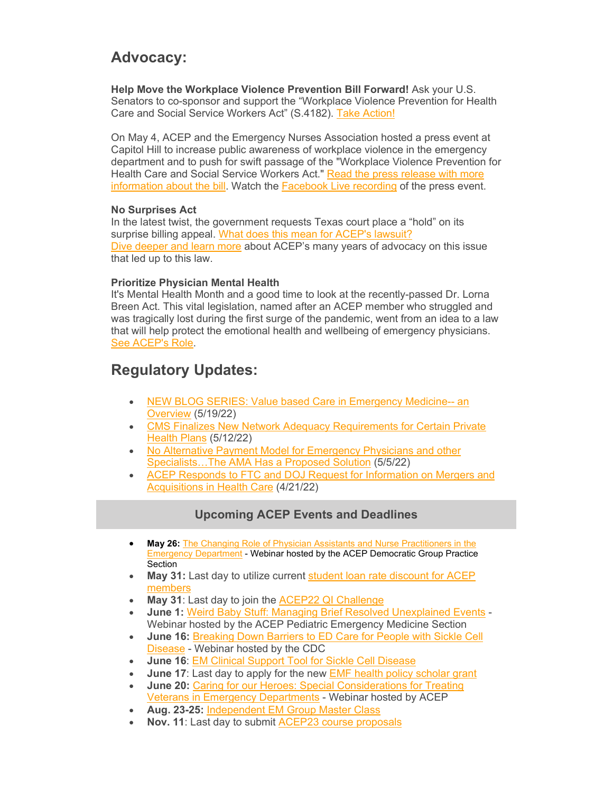# **Advocacy:**

**Help Move the Workplace Violence Prevention Bill Forward!** Ask your U.S. Senators to co-sponsor and support the "Workplace Violence Prevention for Health Care and Social Service Workers Act" (S.4182). [Take Action!](https://elink.clickdimensions.com/c/7/eyJhaSI6NjEzMDk3MDgsImUiOiJhYWx2YXJlekBhY2VwLm9yZyIsInJpIjoiY29udGFjdC01OTdmYTFkMmRkMjNlMDExYTEwNTAwNTA1NmFlMjc4Zi05ZjYzOGYzZjc2MGQ0ZTM4YWFhOGQ0Njg3OGQxMjljOCIsInJxIjoiMDItYjIyMTQ1LTlmNDQ5ZjIzNTBmMDRiNjk4ZTZiZTAwMGNiZmVlYWEwIiwicGgiOm51bGwsIm0iOmZhbHNlLCJ1aSI6IjE5IiwidW4iOiIiLCJ1IjoiaHR0cHM6Ly93d3cuYWNlcC5vcmcvZmVkZXJhbC1hZHZvY2FjeS9mZWRlcmFsLWFkdm9jYWN5LW92ZXJ2aWV3L2Fkdm9jYWN5LWFjdGlvbi1jZW50ZXIvP19jbGRlZT1BOUk1X0dyVW4tRUtucllIM3BDSTlxdTA5MWlaY3FjSmptNlBOdC14UjV5dkpWNm91QW9mYXk4ZUc1UUl6SmFDJnJlY2lwaWVudGlkPWNvbnRhY3QtNTk3ZmExZDJkZDIzZTAxMWExMDUwMDUwNTZhZTI3OGYtOWY2MzhmM2Y3NjBkNGUzOGFhYThkNDY4NzhkMTI5YzgmZXNpZD0xMjRiOTI2Yy00Y2RjLWVjMTEtYTlkMC1jNzBiNTFiYmEzYWIifQ/zW5nx7peho0ZVFEvgTeWIA)

On May 4, ACEP and the Emergency Nurses Association hosted a press event at Capitol Hill to increase public awareness of workplace violence in the emergency department and to push for swift passage of the "Workplace Violence Prevention for Health Care and Social Service Workers Act." [Read the press release with more](https://elink.clickdimensions.com/c/7/eyJhaSI6NjEzMDk3MDgsImUiOiJhYWx2YXJlekBhY2VwLm9yZyIsInJpIjoiY29udGFjdC01OTdmYTFkMmRkMjNlMDExYTEwNTAwNTA1NmFlMjc4Zi05ZjYzOGYzZjc2MGQ0ZTM4YWFhOGQ0Njg3OGQxMjljOCIsInJxIjoiMDItYjIyMTQ1LTlmNDQ5ZjIzNTBmMDRiNjk4ZTZiZTAwMGNiZmVlYWEwIiwicGgiOm51bGwsIm0iOmZhbHNlLCJ1aSI6IjIwIiwidW4iOiIiLCJ1IjoiaHR0cDovL3NtMS5tdWx0aXZpZXcuY29tL3QvZ2NIMUFBa2JhQlBXTllRZFFNQk9tQzBaeUVZc2FZNDdVUFoyY2FhYWFZNDdCUkg0QzRvYWE_aj13WGtkbWVtYX4yNUVxa1NvZi55aHF-YW1wO1Q9d1hrZG1lbWF-MjVFcWtTb2YueWhxfmFtcDtiPU5lfmFtcDs3PSZfY2xkZWU9QTlJNV9HclVuLUVLbnJZSDNwQ0k5cXUwOTFpWmNxY0pqbTZQTnQteFI1eXZKVjZvdUFvZmF5OGVHNVFJekphQyZyZWNpcGllbnRpZD1jb250YWN0LTU5N2ZhMWQyZGQyM2UwMTFhMTA1MDA1MDU2YWUyNzhmLTlmNjM4ZjNmNzYwZDRlMzhhYWE4ZDQ2ODc4ZDEyOWM4JmVzaWQ9MTI0YjkyNmMtNGNkYy1lYzExLWE5ZDAtYzcwYjUxYmJhM2FiIn0/F3UkNEDWkQfCxeAM0wZwDw)  [information about the bill.](https://elink.clickdimensions.com/c/7/eyJhaSI6NjEzMDk3MDgsImUiOiJhYWx2YXJlekBhY2VwLm9yZyIsInJpIjoiY29udGFjdC01OTdmYTFkMmRkMjNlMDExYTEwNTAwNTA1NmFlMjc4Zi05ZjYzOGYzZjc2MGQ0ZTM4YWFhOGQ0Njg3OGQxMjljOCIsInJxIjoiMDItYjIyMTQ1LTlmNDQ5ZjIzNTBmMDRiNjk4ZTZiZTAwMGNiZmVlYWEwIiwicGgiOm51bGwsIm0iOmZhbHNlLCJ1aSI6IjIwIiwidW4iOiIiLCJ1IjoiaHR0cDovL3NtMS5tdWx0aXZpZXcuY29tL3QvZ2NIMUFBa2JhQlBXTllRZFFNQk9tQzBaeUVZc2FZNDdVUFoyY2FhYWFZNDdCUkg0QzRvYWE_aj13WGtkbWVtYX4yNUVxa1NvZi55aHF-YW1wO1Q9d1hrZG1lbWF-MjVFcWtTb2YueWhxfmFtcDtiPU5lfmFtcDs3PSZfY2xkZWU9QTlJNV9HclVuLUVLbnJZSDNwQ0k5cXUwOTFpWmNxY0pqbTZQTnQteFI1eXZKVjZvdUFvZmF5OGVHNVFJekphQyZyZWNpcGllbnRpZD1jb250YWN0LTU5N2ZhMWQyZGQyM2UwMTFhMTA1MDA1MDU2YWUyNzhmLTlmNjM4ZjNmNzYwZDRlMzhhYWE4ZDQ2ODc4ZDEyOWM4JmVzaWQ9MTI0YjkyNmMtNGNkYy1lYzExLWE5ZDAtYzcwYjUxYmJhM2FiIn0/F3UkNEDWkQfCxeAM0wZwDw) Watch the [Facebook Live recording](https://elink.clickdimensions.com/c/7/eyJhaSI6NjEzMDk3MDgsImUiOiJhYWx2YXJlekBhY2VwLm9yZyIsInJpIjoiY29udGFjdC01OTdmYTFkMmRkMjNlMDExYTEwNTAwNTA1NmFlMjc4Zi05ZjYzOGYzZjc2MGQ0ZTM4YWFhOGQ0Njg3OGQxMjljOCIsInJxIjoiMDItYjIyMTQ1LTlmNDQ5ZjIzNTBmMDRiNjk4ZTZiZTAwMGNiZmVlYWEwIiwicGgiOm51bGwsIm0iOmZhbHNlLCJ1aSI6IjIxIiwidW4iOiIiLCJ1IjoiaHR0cHM6Ly93d3cuZmFjZWJvb2suY29tL3dhdGNoL2xpdmUvP2V4dGlkPU5TLVVOSy1VTkstVU5LLUlPU19HSzBULUdLMUMmcmVmPXdhdGNoX3Blcm1hbGluayZ2PTM1NDgzNDY5MDA0Mjc1NSZfY2xkZWU9QTlJNV9HclVuLUVLbnJZSDNwQ0k5cXUwOTFpWmNxY0pqbTZQTnQteFI1eXZKVjZvdUFvZmF5OGVHNVFJekphQyZyZWNpcGllbnRpZD1jb250YWN0LTU5N2ZhMWQyZGQyM2UwMTFhMTA1MDA1MDU2YWUyNzhmLTlmNjM4ZjNmNzYwZDRlMzhhYWE4ZDQ2ODc4ZDEyOWM4JmVzaWQ9MTI0YjkyNmMtNGNkYy1lYzExLWE5ZDAtYzcwYjUxYmJhM2FiIn0/w_VH1fj4kcHuaCcETusJKg) of the press event.

#### **No Surprises Act**

In the latest twist, the government requests Texas court place a "hold" on its surprise billing appeal. [What does this mean for ACEP's lawsuit?](https://elink.clickdimensions.com/c/7/eyJhaSI6NjEzMDk3MDgsImUiOiJhYWx2YXJlekBhY2VwLm9yZyIsInJpIjoiY29udGFjdC01OTdmYTFkMmRkMjNlMDExYTEwNTAwNTA1NmFlMjc4Zi05ZjYzOGYzZjc2MGQ0ZTM4YWFhOGQ0Njg3OGQxMjljOCIsInJxIjoiMDItYjIyMTQ1LTlmNDQ5ZjIzNTBmMDRiNjk4ZTZiZTAwMGNiZmVlYWEwIiwicGgiOm51bGwsIm0iOmZhbHNlLCJ1aSI6IjIyIiwidW4iOiIiLCJ1IjoiaHR0cHM6Ly93d3cuZW1lcmdlbmN5cGh5c2ljaWFucy5vcmcvcHJlc3MtcmVsZWFzZXMvMjAyMi9pbi1sYXRlc3QtdHdpc3QtZ292ZXJubWVudC1yZXF1ZXN0cy10ZXhhcy1jb3VydC1wbGFjZS1ob2xkLW9uLWl0cy1zdXJwcmlzZS1iaWxsaW5nLWFwcGVhbD9fY2xkZWU9QTlJNV9HclVuLUVLbnJZSDNwQ0k5cXUwOTFpWmNxY0pqbTZQTnQteFI1eXZKVjZvdUFvZmF5OGVHNVFJekphQyZyZWNpcGllbnRpZD1jb250YWN0LTU5N2ZhMWQyZGQyM2UwMTFhMTA1MDA1MDU2YWUyNzhmLTlmNjM4ZjNmNzYwZDRlMzhhYWE4ZDQ2ODc4ZDEyOWM4JmVzaWQ9MTI0YjkyNmMtNGNkYy1lYzExLWE5ZDAtYzcwYjUxYmJhM2FiIn0/-U_62sOeZOkxlmTXTlYeqA) [Dive deeper and learn more](https://elink.clickdimensions.com/c/7/eyJhaSI6NjEzMDk3MDgsImUiOiJhYWx2YXJlekBhY2VwLm9yZyIsInJpIjoiY29udGFjdC01OTdmYTFkMmRkMjNlMDExYTEwNTAwNTA1NmFlMjc4Zi05ZjYzOGYzZjc2MGQ0ZTM4YWFhOGQ0Njg3OGQxMjljOCIsInJxIjoiMDItYjIyMTQ1LTlmNDQ5ZjIzNTBmMDRiNjk4ZTZiZTAwMGNiZmVlYWEwIiwicGgiOm51bGwsIm0iOmZhbHNlLCJ1aSI6IjIzIiwidW4iOiIiLCJ1IjoiaHR0cHM6Ly93d3cuYWNlcC5vcmcvZmVkZXJhbC1hZHZvY2FjeS9mZWRlcmFsLWFkdm9jYWN5LW92ZXJ2aWV3L2FjZXA0dS9hY2VwNHUtb3V0LW9mLW5ldHdvcmsvP19jbGRlZT1BOUk1X0dyVW4tRUtucllIM3BDSTlxdTA5MWlaY3FjSmptNlBOdC14UjV5dkpWNm91QW9mYXk4ZUc1UUl6SmFDJnJlY2lwaWVudGlkPWNvbnRhY3QtNTk3ZmExZDJkZDIzZTAxMWExMDUwMDUwNTZhZTI3OGYtOWY2MzhmM2Y3NjBkNGUzOGFhYThkNDY4NzhkMTI5YzgmZXNpZD0xMjRiOTI2Yy00Y2RjLWVjMTEtYTlkMC1jNzBiNTFiYmEzYWIifQ/QYSQwL38kKhgJ-0wQB0JPQ) about ACEP's many years of advocacy on this issue that led up to this law.

#### **Prioritize Physician Mental Health**

It's Mental Health Month and a good time to look at the recently-passed Dr. Lorna Breen Act. This vital legislation, named after an ACEP member who struggled and was tragically lost during the first surge of the pandemic, went from an idea to a law that will help protect the emotional health and wellbeing of emergency physicians. [See ACEP's Role.](https://elink.clickdimensions.com/c/7/eyJhaSI6NjEzMDk3MDgsImUiOiJhYWx2YXJlekBhY2VwLm9yZyIsInJpIjoiY29udGFjdC01OTdmYTFkMmRkMjNlMDExYTEwNTAwNTA1NmFlMjc4Zi05ZjYzOGYzZjc2MGQ0ZTM4YWFhOGQ0Njg3OGQxMjljOCIsInJxIjoiMDItYjIyMTQ1LTlmNDQ5ZjIzNTBmMDRiNjk4ZTZiZTAwMGNiZmVlYWEwIiwicGgiOm51bGwsIm0iOmZhbHNlLCJ1aSI6IjI0IiwidW4iOiIiLCJ1IjoiaHR0cHM6Ly93d3cuYWNlcC5vcmcvZmVkZXJhbC1hZHZvY2FjeS9tZW50YWwtaGVhbHRoL2RyLi1sb3JuYS1icmVlbi1oZWFsdGgtY2FyZS1wcm92aWRlci1wcm90ZWN0aW9uLWFjdC8_X2NsZGVlPUE5STVfR3JVbi1FS25yWUgzcENJOXF1MDkxaVpjcWNKam02UE50LXhSNXl2SlY2b3VBb2ZheThlRzVRSXpKYUMmcmVjaXBpZW50aWQ9Y29udGFjdC01OTdmYTFkMmRkMjNlMDExYTEwNTAwNTA1NmFlMjc4Zi05ZjYzOGYzZjc2MGQ0ZTM4YWFhOGQ0Njg3OGQxMjljOCZlc2lkPTEyNGI5MjZjLTRjZGMtZWMxMS1hOWQwLWM3MGI1MWJiYTNhYiJ9/TIP2A_SY7FZzrskAnCjELg)

# **Regulatory Updates:**

- [NEW BLOG SERIES: Value based Care in Emergency Medicine--](https://elink.clickdimensions.com/c/7/eyJhaSI6NjEzMDk3MDgsImUiOiJhYWx2YXJlekBhY2VwLm9yZyIsInJpIjoiY29udGFjdC01OTdmYTFkMmRkMjNlMDExYTEwNTAwNTA1NmFlMjc4Zi05ZjYzOGYzZjc2MGQ0ZTM4YWFhOGQ0Njg3OGQxMjljOCIsInJxIjoiMDItYjIyMTQ1LTlmNDQ5ZjIzNTBmMDRiNjk4ZTZiZTAwMGNiZmVlYWEwIiwicGgiOm51bGwsIm0iOmZhbHNlLCJ1aSI6IjI1IiwidW4iOiIiLCJ1IjoiaHR0cHM6Ly93d3cuYWNlcC5vcmcvZmVkZXJhbC1hZHZvY2FjeS9mZWRlcmFsLWFkdm9jYWN5LW92ZXJ2aWV3L3JlZ3MtLWVnZ3MvcmVncy0tZWdncy1hcnRpY2xlcy9yZWdzLS1lZ2dzLS0tbWF5LTE5LTIwMjIvP19jbGRlZT1BOUk1X0dyVW4tRUtucllIM3BDSTlxdTA5MWlaY3FjSmptNlBOdC14UjV5dkpWNm91QW9mYXk4ZUc1UUl6SmFDJnJlY2lwaWVudGlkPWNvbnRhY3QtNTk3ZmExZDJkZDIzZTAxMWExMDUwMDUwNTZhZTI3OGYtOWY2MzhmM2Y3NjBkNGUzOGFhYThkNDY4NzhkMTI5YzgmZXNpZD0xMjRiOTI2Yy00Y2RjLWVjMTEtYTlkMC1jNzBiNTFiYmEzYWIifQ/mR9bAV0tnfNFU-GKzSPTbQ) an [Overview](https://elink.clickdimensions.com/c/7/eyJhaSI6NjEzMDk3MDgsImUiOiJhYWx2YXJlekBhY2VwLm9yZyIsInJpIjoiY29udGFjdC01OTdmYTFkMmRkMjNlMDExYTEwNTAwNTA1NmFlMjc4Zi05ZjYzOGYzZjc2MGQ0ZTM4YWFhOGQ0Njg3OGQxMjljOCIsInJxIjoiMDItYjIyMTQ1LTlmNDQ5ZjIzNTBmMDRiNjk4ZTZiZTAwMGNiZmVlYWEwIiwicGgiOm51bGwsIm0iOmZhbHNlLCJ1aSI6IjI1IiwidW4iOiIiLCJ1IjoiaHR0cHM6Ly93d3cuYWNlcC5vcmcvZmVkZXJhbC1hZHZvY2FjeS9mZWRlcmFsLWFkdm9jYWN5LW92ZXJ2aWV3L3JlZ3MtLWVnZ3MvcmVncy0tZWdncy1hcnRpY2xlcy9yZWdzLS1lZ2dzLS0tbWF5LTE5LTIwMjIvP19jbGRlZT1BOUk1X0dyVW4tRUtucllIM3BDSTlxdTA5MWlaY3FjSmptNlBOdC14UjV5dkpWNm91QW9mYXk4ZUc1UUl6SmFDJnJlY2lwaWVudGlkPWNvbnRhY3QtNTk3ZmExZDJkZDIzZTAxMWExMDUwMDUwNTZhZTI3OGYtOWY2MzhmM2Y3NjBkNGUzOGFhYThkNDY4NzhkMTI5YzgmZXNpZD0xMjRiOTI2Yy00Y2RjLWVjMTEtYTlkMC1jNzBiNTFiYmEzYWIifQ/mR9bAV0tnfNFU-GKzSPTbQ) (5/19/22)
- [CMS Finalizes New Network Adequacy Requirements for Certain Private](https://elink.clickdimensions.com/c/7/eyJhaSI6NjEzMDk3MDgsImUiOiJhYWx2YXJlekBhY2VwLm9yZyIsInJpIjoiY29udGFjdC01OTdmYTFkMmRkMjNlMDExYTEwNTAwNTA1NmFlMjc4Zi05ZjYzOGYzZjc2MGQ0ZTM4YWFhOGQ0Njg3OGQxMjljOCIsInJxIjoiMDItYjIyMTQ1LTlmNDQ5ZjIzNTBmMDRiNjk4ZTZiZTAwMGNiZmVlYWEwIiwicGgiOm51bGwsIm0iOmZhbHNlLCJ1aSI6IjI2IiwidW4iOiIiLCJ1IjoiaHR0cHM6Ly93d3cuYWNlcC5vcmcvZmVkZXJhbC1hZHZvY2FjeS9mZWRlcmFsLWFkdm9jYWN5LW92ZXJ2aWV3L3JlZ3MtLWVnZ3MvcmVncy0tZWdncy1hcnRpY2xlcy9yZWdzLS1lZ2dzLS0tbWF5LTEyLTIwMjIvP19jbGRlZT1BOUk1X0dyVW4tRUtucllIM3BDSTlxdTA5MWlaY3FjSmptNlBOdC14UjV5dkpWNm91QW9mYXk4ZUc1UUl6SmFDJnJlY2lwaWVudGlkPWNvbnRhY3QtNTk3ZmExZDJkZDIzZTAxMWExMDUwMDUwNTZhZTI3OGYtOWY2MzhmM2Y3NjBkNGUzOGFhYThkNDY4NzhkMTI5YzgmZXNpZD0xMjRiOTI2Yy00Y2RjLWVjMTEtYTlkMC1jNzBiNTFiYmEzYWIifQ/6fwpt_qsikIfly-1RTO4Nw)  [Health Plans](https://elink.clickdimensions.com/c/7/eyJhaSI6NjEzMDk3MDgsImUiOiJhYWx2YXJlekBhY2VwLm9yZyIsInJpIjoiY29udGFjdC01OTdmYTFkMmRkMjNlMDExYTEwNTAwNTA1NmFlMjc4Zi05ZjYzOGYzZjc2MGQ0ZTM4YWFhOGQ0Njg3OGQxMjljOCIsInJxIjoiMDItYjIyMTQ1LTlmNDQ5ZjIzNTBmMDRiNjk4ZTZiZTAwMGNiZmVlYWEwIiwicGgiOm51bGwsIm0iOmZhbHNlLCJ1aSI6IjI2IiwidW4iOiIiLCJ1IjoiaHR0cHM6Ly93d3cuYWNlcC5vcmcvZmVkZXJhbC1hZHZvY2FjeS9mZWRlcmFsLWFkdm9jYWN5LW92ZXJ2aWV3L3JlZ3MtLWVnZ3MvcmVncy0tZWdncy1hcnRpY2xlcy9yZWdzLS1lZ2dzLS0tbWF5LTEyLTIwMjIvP19jbGRlZT1BOUk1X0dyVW4tRUtucllIM3BDSTlxdTA5MWlaY3FjSmptNlBOdC14UjV5dkpWNm91QW9mYXk4ZUc1UUl6SmFDJnJlY2lwaWVudGlkPWNvbnRhY3QtNTk3ZmExZDJkZDIzZTAxMWExMDUwMDUwNTZhZTI3OGYtOWY2MzhmM2Y3NjBkNGUzOGFhYThkNDY4NzhkMTI5YzgmZXNpZD0xMjRiOTI2Yy00Y2RjLWVjMTEtYTlkMC1jNzBiNTFiYmEzYWIifQ/6fwpt_qsikIfly-1RTO4Nw) (5/12/22)
- [No Alternative Payment Model for Emergency Physicians and other](https://elink.clickdimensions.com/c/7/eyJhaSI6NjEzMDk3MDgsImUiOiJhYWx2YXJlekBhY2VwLm9yZyIsInJpIjoiY29udGFjdC01OTdmYTFkMmRkMjNlMDExYTEwNTAwNTA1NmFlMjc4Zi05ZjYzOGYzZjc2MGQ0ZTM4YWFhOGQ0Njg3OGQxMjljOCIsInJxIjoiMDItYjIyMTQ1LTlmNDQ5ZjIzNTBmMDRiNjk4ZTZiZTAwMGNiZmVlYWEwIiwicGgiOm51bGwsIm0iOmZhbHNlLCJ1aSI6IjI3IiwidW4iOiIiLCJ1IjoiaHR0cHM6Ly93d3cuYWNlcC5vcmcvZmVkZXJhbC1hZHZvY2FjeS9mZWRlcmFsLWFkdm9jYWN5LW92ZXJ2aWV3L3JlZ3MtLWVnZ3MvcmVncy0tZWdncy1hcnRpY2xlcy9yZWdzLS1lZ2dzLS0tbWF5LTUtMjAyMi8_X2NsZGVlPUE5STVfR3JVbi1FS25yWUgzcENJOXF1MDkxaVpjcWNKam02UE50LXhSNXl2SlY2b3VBb2ZheThlRzVRSXpKYUMmcmVjaXBpZW50aWQ9Y29udGFjdC01OTdmYTFkMmRkMjNlMDExYTEwNTAwNTA1NmFlMjc4Zi05ZjYzOGYzZjc2MGQ0ZTM4YWFhOGQ0Njg3OGQxMjljOCZlc2lkPTEyNGI5MjZjLTRjZGMtZWMxMS1hOWQwLWM3MGI1MWJiYTNhYiJ9/ZP4aC9EOuaipBJJrEtirOg)  [Specialists…The AMA Has a Proposed Solution](https://elink.clickdimensions.com/c/7/eyJhaSI6NjEzMDk3MDgsImUiOiJhYWx2YXJlekBhY2VwLm9yZyIsInJpIjoiY29udGFjdC01OTdmYTFkMmRkMjNlMDExYTEwNTAwNTA1NmFlMjc4Zi05ZjYzOGYzZjc2MGQ0ZTM4YWFhOGQ0Njg3OGQxMjljOCIsInJxIjoiMDItYjIyMTQ1LTlmNDQ5ZjIzNTBmMDRiNjk4ZTZiZTAwMGNiZmVlYWEwIiwicGgiOm51bGwsIm0iOmZhbHNlLCJ1aSI6IjI3IiwidW4iOiIiLCJ1IjoiaHR0cHM6Ly93d3cuYWNlcC5vcmcvZmVkZXJhbC1hZHZvY2FjeS9mZWRlcmFsLWFkdm9jYWN5LW92ZXJ2aWV3L3JlZ3MtLWVnZ3MvcmVncy0tZWdncy1hcnRpY2xlcy9yZWdzLS1lZ2dzLS0tbWF5LTUtMjAyMi8_X2NsZGVlPUE5STVfR3JVbi1FS25yWUgzcENJOXF1MDkxaVpjcWNKam02UE50LXhSNXl2SlY2b3VBb2ZheThlRzVRSXpKYUMmcmVjaXBpZW50aWQ9Y29udGFjdC01OTdmYTFkMmRkMjNlMDExYTEwNTAwNTA1NmFlMjc4Zi05ZjYzOGYzZjc2MGQ0ZTM4YWFhOGQ0Njg3OGQxMjljOCZlc2lkPTEyNGI5MjZjLTRjZGMtZWMxMS1hOWQwLWM3MGI1MWJiYTNhYiJ9/ZP4aC9EOuaipBJJrEtirOg) (5/5/22)
- [ACEP Responds to FTC and DOJ Request for Information on Mergers and](https://elink.clickdimensions.com/c/7/eyJhaSI6NjEzMDk3MDgsImUiOiJhYWx2YXJlekBhY2VwLm9yZyIsInJpIjoiY29udGFjdC01OTdmYTFkMmRkMjNlMDExYTEwNTAwNTA1NmFlMjc4Zi05ZjYzOGYzZjc2MGQ0ZTM4YWFhOGQ0Njg3OGQxMjljOCIsInJxIjoiMDItYjIyMTQ1LTlmNDQ5ZjIzNTBmMDRiNjk4ZTZiZTAwMGNiZmVlYWEwIiwicGgiOm51bGwsIm0iOmZhbHNlLCJ1aSI6IjI4IiwidW4iOiIiLCJ1IjoiaHR0cHM6Ly93d3cuYWNlcC5vcmcvZmVkZXJhbC1hZHZvY2FjeS9mZWRlcmFsLWFkdm9jYWN5LW92ZXJ2aWV3L3JlZ3MtLWVnZ3MvcmVncy0tZWdncy1hcnRpY2xlcy9yZWdzLS1lZ2dzLS0tYXByaWwtMjEtMjAyMi8_X2NsZGVlPUE5STVfR3JVbi1FS25yWUgzcENJOXF1MDkxaVpjcWNKam02UE50LXhSNXl2SlY2b3VBb2ZheThlRzVRSXpKYUMmcmVjaXBpZW50aWQ9Y29udGFjdC01OTdmYTFkMmRkMjNlMDExYTEwNTAwNTA1NmFlMjc4Zi05ZjYzOGYzZjc2MGQ0ZTM4YWFhOGQ0Njg3OGQxMjljOCZlc2lkPTEyNGI5MjZjLTRjZGMtZWMxMS1hOWQwLWM3MGI1MWJiYTNhYiJ9/7-ni7-4isQY_sz7-bzGNcA)  [Acquisitions in Health Care](https://elink.clickdimensions.com/c/7/eyJhaSI6NjEzMDk3MDgsImUiOiJhYWx2YXJlekBhY2VwLm9yZyIsInJpIjoiY29udGFjdC01OTdmYTFkMmRkMjNlMDExYTEwNTAwNTA1NmFlMjc4Zi05ZjYzOGYzZjc2MGQ0ZTM4YWFhOGQ0Njg3OGQxMjljOCIsInJxIjoiMDItYjIyMTQ1LTlmNDQ5ZjIzNTBmMDRiNjk4ZTZiZTAwMGNiZmVlYWEwIiwicGgiOm51bGwsIm0iOmZhbHNlLCJ1aSI6IjI4IiwidW4iOiIiLCJ1IjoiaHR0cHM6Ly93d3cuYWNlcC5vcmcvZmVkZXJhbC1hZHZvY2FjeS9mZWRlcmFsLWFkdm9jYWN5LW92ZXJ2aWV3L3JlZ3MtLWVnZ3MvcmVncy0tZWdncy1hcnRpY2xlcy9yZWdzLS1lZ2dzLS0tYXByaWwtMjEtMjAyMi8_X2NsZGVlPUE5STVfR3JVbi1FS25yWUgzcENJOXF1MDkxaVpjcWNKam02UE50LXhSNXl2SlY2b3VBb2ZheThlRzVRSXpKYUMmcmVjaXBpZW50aWQ9Y29udGFjdC01OTdmYTFkMmRkMjNlMDExYTEwNTAwNTA1NmFlMjc4Zi05ZjYzOGYzZjc2MGQ0ZTM4YWFhOGQ0Njg3OGQxMjljOCZlc2lkPTEyNGI5MjZjLTRjZGMtZWMxMS1hOWQwLWM3MGI1MWJiYTNhYiJ9/7-ni7-4isQY_sz7-bzGNcA) (4/21/22)

## **Upcoming ACEP Events and Deadlines**

- **May 26:** [The Changing Role of Physician Assistants and Nurse Practitioners in the](https://elink.clickdimensions.com/c/7/eyJhaSI6NjEzMDk3MDgsImUiOiJhYWx2YXJlekBhY2VwLm9yZyIsInJpIjoiY29udGFjdC01OTdmYTFkMmRkMjNlMDExYTEwNTAwNTA1NmFlMjc4Zi05ZjYzOGYzZjc2MGQ0ZTM4YWFhOGQ0Njg3OGQxMjljOCIsInJxIjoiMDItYjIyMTQ1LTlmNDQ5ZjIzNTBmMDRiNjk4ZTZiZTAwMGNiZmVlYWEwIiwicGgiOm51bGwsIm0iOmZhbHNlLCJ1aSI6IjI5IiwidW4iOiIiLCJ1IjoiaHR0cHM6Ly93d3cuYWNlcC5vcmcvbWFzdGVyLWNhbGVuZGFyL3RoZS1jaGFuZ2luZy1yb2xlLW9mLXBoeXNpY2lhbi1hc3Npc3RhbnRzLWFuZC1udXJzZS1wcmFjdGl0aW9uZXJzLWluLXRoZS1lbWVyZ2VuY3ktZGVwYXJ0bWVudC8_X2NsZGVlPUE5STVfR3JVbi1FS25yWUgzcENJOXF1MDkxaVpjcWNKam02UE50LXhSNXl2SlY2b3VBb2ZheThlRzVRSXpKYUMmcmVjaXBpZW50aWQ9Y29udGFjdC01OTdmYTFkMmRkMjNlMDExYTEwNTAwNTA1NmFlMjc4Zi05ZjYzOGYzZjc2MGQ0ZTM4YWFhOGQ0Njg3OGQxMjljOCZlc2lkPTEyNGI5MjZjLTRjZGMtZWMxMS1hOWQwLWM3MGI1MWJiYTNhYiJ9/3G5URTHVCWwq5D5S13FzhQ)  **[Emergency Department](https://elink.clickdimensions.com/c/7/eyJhaSI6NjEzMDk3MDgsImUiOiJhYWx2YXJlekBhY2VwLm9yZyIsInJpIjoiY29udGFjdC01OTdmYTFkMmRkMjNlMDExYTEwNTAwNTA1NmFlMjc4Zi05ZjYzOGYzZjc2MGQ0ZTM4YWFhOGQ0Njg3OGQxMjljOCIsInJxIjoiMDItYjIyMTQ1LTlmNDQ5ZjIzNTBmMDRiNjk4ZTZiZTAwMGNiZmVlYWEwIiwicGgiOm51bGwsIm0iOmZhbHNlLCJ1aSI6IjI5IiwidW4iOiIiLCJ1IjoiaHR0cHM6Ly93d3cuYWNlcC5vcmcvbWFzdGVyLWNhbGVuZGFyL3RoZS1jaGFuZ2luZy1yb2xlLW9mLXBoeXNpY2lhbi1hc3Npc3RhbnRzLWFuZC1udXJzZS1wcmFjdGl0aW9uZXJzLWluLXRoZS1lbWVyZ2VuY3ktZGVwYXJ0bWVudC8_X2NsZGVlPUE5STVfR3JVbi1FS25yWUgzcENJOXF1MDkxaVpjcWNKam02UE50LXhSNXl2SlY2b3VBb2ZheThlRzVRSXpKYUMmcmVjaXBpZW50aWQ9Y29udGFjdC01OTdmYTFkMmRkMjNlMDExYTEwNTAwNTA1NmFlMjc4Zi05ZjYzOGYzZjc2MGQ0ZTM4YWFhOGQ0Njg3OGQxMjljOCZlc2lkPTEyNGI5MjZjLTRjZGMtZWMxMS1hOWQwLWM3MGI1MWJiYTNhYiJ9/3G5URTHVCWwq5D5S13FzhQ) - Webinar hosted by the ACEP Democratic Group Practice** Section
- **May 31:** Last day to utilize current [student loan rate discount for ACEP](https://elink.clickdimensions.com/c/7/eyJhaSI6NjEzMDk3MDgsImUiOiJhYWx2YXJlekBhY2VwLm9yZyIsInJpIjoiY29udGFjdC01OTdmYTFkMmRkMjNlMDExYTEwNTAwNTA1NmFlMjc4Zi05ZjYzOGYzZjc2MGQ0ZTM4YWFhOGQ0Njg3OGQxMjljOCIsInJxIjoiMDItYjIyMTQ1LTlmNDQ5ZjIzNTBmMDRiNjk4ZTZiZTAwMGNiZmVlYWEwIiwicGgiOm51bGwsIm0iOmZhbHNlLCJ1aSI6IjMwIiwidW4iOiIiLCJ1IjoiaHR0cHM6Ly93d3cuYWNlcC5vcmcvbWVtYmVyc2hpcC9tZW1iZXJzaGlwL2JlbmVmaXRzLW9mLW1lbWJlcnNoaXAvbWVtYmVyLWJlbmVmaXRzL2JlbmVmaXRzLWFydGljbGVzL3NvZmkvP19jbGRlZT1BOUk1X0dyVW4tRUtucllIM3BDSTlxdTA5MWlaY3FjSmptNlBOdC14UjV5dkpWNm91QW9mYXk4ZUc1UUl6SmFDJnJlY2lwaWVudGlkPWNvbnRhY3QtNTk3ZmExZDJkZDIzZTAxMWExMDUwMDUwNTZhZTI3OGYtOWY2MzhmM2Y3NjBkNGUzOGFhYThkNDY4NzhkMTI5YzgmZXNpZD0xMjRiOTI2Yy00Y2RjLWVjMTEtYTlkMC1jNzBiNTFiYmEzYWIifQ/Kq2zopvebCy41NmMa1GiPw)  [members](https://elink.clickdimensions.com/c/7/eyJhaSI6NjEzMDk3MDgsImUiOiJhYWx2YXJlekBhY2VwLm9yZyIsInJpIjoiY29udGFjdC01OTdmYTFkMmRkMjNlMDExYTEwNTAwNTA1NmFlMjc4Zi05ZjYzOGYzZjc2MGQ0ZTM4YWFhOGQ0Njg3OGQxMjljOCIsInJxIjoiMDItYjIyMTQ1LTlmNDQ5ZjIzNTBmMDRiNjk4ZTZiZTAwMGNiZmVlYWEwIiwicGgiOm51bGwsIm0iOmZhbHNlLCJ1aSI6IjMwIiwidW4iOiIiLCJ1IjoiaHR0cHM6Ly93d3cuYWNlcC5vcmcvbWVtYmVyc2hpcC9tZW1iZXJzaGlwL2JlbmVmaXRzLW9mLW1lbWJlcnNoaXAvbWVtYmVyLWJlbmVmaXRzL2JlbmVmaXRzLWFydGljbGVzL3NvZmkvP19jbGRlZT1BOUk1X0dyVW4tRUtucllIM3BDSTlxdTA5MWlaY3FjSmptNlBOdC14UjV5dkpWNm91QW9mYXk4ZUc1UUl6SmFDJnJlY2lwaWVudGlkPWNvbnRhY3QtNTk3ZmExZDJkZDIzZTAxMWExMDUwMDUwNTZhZTI3OGYtOWY2MzhmM2Y3NjBkNGUzOGFhYThkNDY4NzhkMTI5YzgmZXNpZD0xMjRiOTI2Yy00Y2RjLWVjMTEtYTlkMC1jNzBiNTFiYmEzYWIifQ/Kq2zopvebCy41NmMa1GiPw)
- **May 31**: Last day to join the [ACEP22 QI Challenge](https://elink.clickdimensions.com/c/7/eyJhaSI6NjEzMDk3MDgsImUiOiJhYWx2YXJlekBhY2VwLm9yZyIsInJpIjoiY29udGFjdC01OTdmYTFkMmRkMjNlMDExYTEwNTAwNTA1NmFlMjc4Zi05ZjYzOGYzZjc2MGQ0ZTM4YWFhOGQ0Njg3OGQxMjljOCIsInJxIjoiMDItYjIyMTQ1LTlmNDQ5ZjIzNTBmMDRiNjk4ZTZiZTAwMGNiZmVlYWEwIiwicGgiOm51bGwsIm0iOmZhbHNlLCJ1aSI6IjMxIiwidW4iOiIiLCJ1IjoiaHR0cHM6Ly93d3cuYWNlcC5vcmcvYWRtaW5pc3RyYXRpb24vcXVhbGl0eS9xdWFsaXR5LWFydGljbGUtcGFnZXMvYWNlcC1xaS1jaGFsbGVuZ2UvP19jbGRlZT1BOUk1X0dyVW4tRUtucllIM3BDSTlxdTA5MWlaY3FjSmptNlBOdC14UjV5dkpWNm91QW9mYXk4ZUc1UUl6SmFDJnJlY2lwaWVudGlkPWNvbnRhY3QtNTk3ZmExZDJkZDIzZTAxMWExMDUwMDUwNTZhZTI3OGYtOWY2MzhmM2Y3NjBkNGUzOGFhYThkNDY4NzhkMTI5YzgmZXNpZD0xMjRiOTI2Yy00Y2RjLWVjMTEtYTlkMC1jNzBiNTFiYmEzYWIifQ/cM1ackIQDtl-5d_4v57GSw)
- **June 1:** [Weird Baby Stuff: Managing Brief Resolved Unexplained Events](https://elink.clickdimensions.com/c/7/eyJhaSI6NjEzMDk3MDgsImUiOiJhYWx2YXJlekBhY2VwLm9yZyIsInJpIjoiY29udGFjdC01OTdmYTFkMmRkMjNlMDExYTEwNTAwNTA1NmFlMjc4Zi05ZjYzOGYzZjc2MGQ0ZTM4YWFhOGQ0Njg3OGQxMjljOCIsInJxIjoiMDItYjIyMTQ1LTlmNDQ5ZjIzNTBmMDRiNjk4ZTZiZTAwMGNiZmVlYWEwIiwicGgiOm51bGwsIm0iOmZhbHNlLCJ1aSI6IjMyIiwidW4iOiIiLCJ1IjoiaHR0cHM6Ly93d3cuYWNlcC5vcmcvbWFzdGVyLWNhbGVuZGFyL3dlaXJkLWJhYnktc3R1ZmYtbWFuYWdpbmctYnJpZWYtcmVzb2x2ZWQtdW5leHBsYWluZWQtZXZlbnRzLz9fY2xkZWU9QTlJNV9HclVuLUVLbnJZSDNwQ0k5cXUwOTFpWmNxY0pqbTZQTnQteFI1eXZKVjZvdUFvZmF5OGVHNVFJekphQyZyZWNpcGllbnRpZD1jb250YWN0LTU5N2ZhMWQyZGQyM2UwMTFhMTA1MDA1MDU2YWUyNzhmLTlmNjM4ZjNmNzYwZDRlMzhhYWE4ZDQ2ODc4ZDEyOWM4JmVzaWQ9MTI0YjkyNmMtNGNkYy1lYzExLWE5ZDAtYzcwYjUxYmJhM2FiIn0/pVGdcyqoMZ00BJeJ8v-0xw)  Webinar hosted by the ACEP Pediatric Emergency Medicine Section
- **June 16:** [Breaking Down Barriers to ED Care for People with Sickle Cell](https://elink.clickdimensions.com/c/7/eyJhaSI6NjEzMDk3MDgsImUiOiJhYWx2YXJlekBhY2VwLm9yZyIsInJpIjoiY29udGFjdC01OTdmYTFkMmRkMjNlMDExYTEwNTAwNTA1NmFlMjc4Zi05ZjYzOGYzZjc2MGQ0ZTM4YWFhOGQ0Njg3OGQxMjljOCIsInJxIjoiMDItYjIyMTQ1LTlmNDQ5ZjIzNTBmMDRiNjk4ZTZiZTAwMGNiZmVlYWEwIiwicGgiOm51bGwsIm0iOmZhbHNlLCJ1aSI6IjMzIiwidW4iOiIiLCJ1IjoiaHR0cHM6Ly93d3cuYWNlcC5vcmcvbWFzdGVyLWNhbGVuZGFyL2JyZWFraW5nLWRvd24tYmFycmllcnMtdG8tZWQtY2FyZS1mb3ItcGVvcGxlLXdpdGgtc2lja2xlLWNlbGwtZGlzZWFzZS8_X2NsZGVlPUE5STVfR3JVbi1FS25yWUgzcENJOXF1MDkxaVpjcWNKam02UE50LXhSNXl2SlY2b3VBb2ZheThlRzVRSXpKYUMmcmVjaXBpZW50aWQ9Y29udGFjdC01OTdmYTFkMmRkMjNlMDExYTEwNTAwNTA1NmFlMjc4Zi05ZjYzOGYzZjc2MGQ0ZTM4YWFhOGQ0Njg3OGQxMjljOCZlc2lkPTEyNGI5MjZjLTRjZGMtZWMxMS1hOWQwLWM3MGI1MWJiYTNhYiJ9/aY9bbF22hMqUi96Xbx7mXQ)  [Disease](https://elink.clickdimensions.com/c/7/eyJhaSI6NjEzMDk3MDgsImUiOiJhYWx2YXJlekBhY2VwLm9yZyIsInJpIjoiY29udGFjdC01OTdmYTFkMmRkMjNlMDExYTEwNTAwNTA1NmFlMjc4Zi05ZjYzOGYzZjc2MGQ0ZTM4YWFhOGQ0Njg3OGQxMjljOCIsInJxIjoiMDItYjIyMTQ1LTlmNDQ5ZjIzNTBmMDRiNjk4ZTZiZTAwMGNiZmVlYWEwIiwicGgiOm51bGwsIm0iOmZhbHNlLCJ1aSI6IjMzIiwidW4iOiIiLCJ1IjoiaHR0cHM6Ly93d3cuYWNlcC5vcmcvbWFzdGVyLWNhbGVuZGFyL2JyZWFraW5nLWRvd24tYmFycmllcnMtdG8tZWQtY2FyZS1mb3ItcGVvcGxlLXdpdGgtc2lja2xlLWNlbGwtZGlzZWFzZS8_X2NsZGVlPUE5STVfR3JVbi1FS25yWUgzcENJOXF1MDkxaVpjcWNKam02UE50LXhSNXl2SlY2b3VBb2ZheThlRzVRSXpKYUMmcmVjaXBpZW50aWQ9Y29udGFjdC01OTdmYTFkMmRkMjNlMDExYTEwNTAwNTA1NmFlMjc4Zi05ZjYzOGYzZjc2MGQ0ZTM4YWFhOGQ0Njg3OGQxMjljOCZlc2lkPTEyNGI5MjZjLTRjZGMtZWMxMS1hOWQwLWM3MGI1MWJiYTNhYiJ9/aY9bbF22hMqUi96Xbx7mXQ) - Webinar hosted by the CDC
- **June 16**: [EM Clinical Support Tool for Sickle Cell Disease](https://elink.clickdimensions.com/c/7/eyJhaSI6NjEzMDk3MDgsImUiOiJhYWx2YXJlekBhY2VwLm9yZyIsInJpIjoiY29udGFjdC01OTdmYTFkMmRkMjNlMDExYTEwNTAwNTA1NmFlMjc4Zi05ZjYzOGYzZjc2MGQ0ZTM4YWFhOGQ0Njg3OGQxMjljOCIsInJxIjoiMDItYjIyMTQ1LTlmNDQ5ZjIzNTBmMDRiNjk4ZTZiZTAwMGNiZmVlYWEwIiwicGgiOm51bGwsIm0iOmZhbHNlLCJ1aSI6IjM0IiwidW4iOiIiLCJ1IjoiaHR0cDovL3NpY2tsZWVjaG8ub3JnLz9fY2xkZWU9QTlJNV9HclVuLUVLbnJZSDNwQ0k5cXUwOTFpWmNxY0pqbTZQTnQteFI1eXZKVjZvdUFvZmF5OGVHNVFJekphQyZyZWNpcGllbnRpZD1jb250YWN0LTU5N2ZhMWQyZGQyM2UwMTFhMTA1MDA1MDU2YWUyNzhmLTlmNjM4ZjNmNzYwZDRlMzhhYWE4ZDQ2ODc4ZDEyOWM4JmVzaWQ9MTI0YjkyNmMtNGNkYy1lYzExLWE5ZDAtYzcwYjUxYmJhM2FiIn0/xExoOWraBvZVHxA3Un_AfQ)
- **June 17:** Last day to apply for the new [EMF health policy scholar](https://elink.clickdimensions.com/c/7/eyJhaSI6NjEzMDk3MDgsImUiOiJhYWx2YXJlekBhY2VwLm9yZyIsInJpIjoiY29udGFjdC01OTdmYTFkMmRkMjNlMDExYTEwNTAwNTA1NmFlMjc4Zi05ZjYzOGYzZjc2MGQ0ZTM4YWFhOGQ0Njg3OGQxMjljOCIsInJxIjoiMDItYjIyMTQ1LTlmNDQ5ZjIzNTBmMDRiNjk4ZTZiZTAwMGNiZmVlYWEwIiwicGgiOm51bGwsIm0iOmZhbHNlLCJ1aSI6IjM1IiwidW4iOiIiLCJ1IjoiaHR0cHM6Ly93d3cuZW1mb3VuZGF0aW9uLm9yZy9ncmFudHMvYXBwbHktZm9yLWEtZ3JhbnQvP19jbGRlZT1BOUk1X0dyVW4tRUtucllIM3BDSTlxdTA5MWlaY3FjSmptNlBOdC14UjV5dkpWNm91QW9mYXk4ZUc1UUl6SmFDJnJlY2lwaWVudGlkPWNvbnRhY3QtNTk3ZmExZDJkZDIzZTAxMWExMDUwMDUwNTZhZTI3OGYtOWY2MzhmM2Y3NjBkNGUzOGFhYThkNDY4NzhkMTI5YzgmZXNpZD0xMjRiOTI2Yy00Y2RjLWVjMTEtYTlkMC1jNzBiNTFiYmEzYWIifQ/udi-5hq3uS7soh5jnAqAEw) grant
- **June 20:** [Caring for our Heroes: Special Considerations for Treating](https://elink.clickdimensions.com/c/7/eyJhaSI6NjEzMDk3MDgsImUiOiJhYWx2YXJlekBhY2VwLm9yZyIsInJpIjoiY29udGFjdC01OTdmYTFkMmRkMjNlMDExYTEwNTAwNTA1NmFlMjc4Zi05ZjYzOGYzZjc2MGQ0ZTM4YWFhOGQ0Njg3OGQxMjljOCIsInJxIjoiMDItYjIyMTQ1LTlmNDQ5ZjIzNTBmMDRiNjk4ZTZiZTAwMGNiZmVlYWEwIiwicGgiOm51bGwsIm0iOmZhbHNlLCJ1aSI6IjM2IiwidW4iOiIiLCJ1IjoiaHR0cHM6Ly93d3cuYWNlcC5vcmcvbWFzdGVyLWNhbGVuZGFyL2NhcmluZy1mb3Itb3VyLWhlcm9lcy1zcGVjaWFsLWNvbnNpZGVyYXRpb25zLWZvci10cmVhdGluZy12ZXRlcmFucy1pbi1lbWVyZ2VuY3ktZGVwYXJ0bWVudHMtLS8_X2NsZGVlPUE5STVfR3JVbi1FS25yWUgzcENJOXF1MDkxaVpjcWNKam02UE50LXhSNXl2SlY2b3VBb2ZheThlRzVRSXpKYUMmcmVjaXBpZW50aWQ9Y29udGFjdC01OTdmYTFkMmRkMjNlMDExYTEwNTAwNTA1NmFlMjc4Zi05ZjYzOGYzZjc2MGQ0ZTM4YWFhOGQ0Njg3OGQxMjljOCZlc2lkPTEyNGI5MjZjLTRjZGMtZWMxMS1hOWQwLWM3MGI1MWJiYTNhYiJ9/PbL8apl9puaoGlp-dTi9iA)  [Veterans in Emergency Departments](https://elink.clickdimensions.com/c/7/eyJhaSI6NjEzMDk3MDgsImUiOiJhYWx2YXJlekBhY2VwLm9yZyIsInJpIjoiY29udGFjdC01OTdmYTFkMmRkMjNlMDExYTEwNTAwNTA1NmFlMjc4Zi05ZjYzOGYzZjc2MGQ0ZTM4YWFhOGQ0Njg3OGQxMjljOCIsInJxIjoiMDItYjIyMTQ1LTlmNDQ5ZjIzNTBmMDRiNjk4ZTZiZTAwMGNiZmVlYWEwIiwicGgiOm51bGwsIm0iOmZhbHNlLCJ1aSI6IjM2IiwidW4iOiIiLCJ1IjoiaHR0cHM6Ly93d3cuYWNlcC5vcmcvbWFzdGVyLWNhbGVuZGFyL2NhcmluZy1mb3Itb3VyLWhlcm9lcy1zcGVjaWFsLWNvbnNpZGVyYXRpb25zLWZvci10cmVhdGluZy12ZXRlcmFucy1pbi1lbWVyZ2VuY3ktZGVwYXJ0bWVudHMtLS8_X2NsZGVlPUE5STVfR3JVbi1FS25yWUgzcENJOXF1MDkxaVpjcWNKam02UE50LXhSNXl2SlY2b3VBb2ZheThlRzVRSXpKYUMmcmVjaXBpZW50aWQ9Y29udGFjdC01OTdmYTFkMmRkMjNlMDExYTEwNTAwNTA1NmFlMjc4Zi05ZjYzOGYzZjc2MGQ0ZTM4YWFhOGQ0Njg3OGQxMjljOCZlc2lkPTEyNGI5MjZjLTRjZGMtZWMxMS1hOWQwLWM3MGI1MWJiYTNhYiJ9/PbL8apl9puaoGlp-dTi9iA) - Webinar hosted by ACEP
- **Aug. 23-25:** [Independent EM Group Master Class](https://elink.clickdimensions.com/c/7/eyJhaSI6NjEzMDk3MDgsImUiOiJhYWx2YXJlekBhY2VwLm9yZyIsInJpIjoiY29udGFjdC01OTdmYTFkMmRkMjNlMDExYTEwNTAwNTA1NmFlMjc4Zi05ZjYzOGYzZjc2MGQ0ZTM4YWFhOGQ0Njg3OGQxMjljOCIsInJxIjoiMDItYjIyMTQ1LTlmNDQ5ZjIzNTBmMDRiNjk4ZTZiZTAwMGNiZmVlYWEwIiwicGgiOm51bGwsIm0iOmZhbHNlLCJ1aSI6IjM3IiwidW4iOiIiLCJ1IjoiaHR0cHM6Ly93d3cuYWNlcC5vcmcvSW5keWNsYXNzP19jbGRlZT1BOUk1X0dyVW4tRUtucllIM3BDSTlxdTA5MWlaY3FjSmptNlBOdC14UjV5dkpWNm91QW9mYXk4ZUc1UUl6SmFDJnJlY2lwaWVudGlkPWNvbnRhY3QtNTk3ZmExZDJkZDIzZTAxMWExMDUwMDUwNTZhZTI3OGYtOWY2MzhmM2Y3NjBkNGUzOGFhYThkNDY4NzhkMTI5YzgmZXNpZD0xMjRiOTI2Yy00Y2RjLWVjMTEtYTlkMC1jNzBiNTFiYmEzYWIifQ/61lkJ5wyOqNUO6obdx-Fpg)
- **Nov. 11**: Last day to submit [ACEP23 course proposals](https://elink.clickdimensions.com/c/7/eyJhaSI6NjEzMDk3MDgsImUiOiJhYWx2YXJlekBhY2VwLm9yZyIsInJpIjoiY29udGFjdC01OTdmYTFkMmRkMjNlMDExYTEwNTAwNTA1NmFlMjc4Zi05ZjYzOGYzZjc2MGQ0ZTM4YWFhOGQ0Njg3OGQxMjljOCIsInJxIjoiMDItYjIyMTQ1LTlmNDQ5ZjIzNTBmMDRiNjk4ZTZiZTAwMGNiZmVlYWEwIiwicGgiOm51bGwsIm0iOmZhbHNlLCJ1aSI6IjM4IiwidW4iOiIiLCJ1IjoiaHR0cHM6Ly93d3cuYWNlcC5vcmcvZWR1Y2F0aW9uL21lZXRpbmdzL3NjaWVudGlmaWMtYXNzZW1ibHktY291cnNlLXByb3Bvc2FsLWZvcm0vP19jbGRlZT1BOUk1X0dyVW4tRUtucllIM3BDSTlxdTA5MWlaY3FjSmptNlBOdC14UjV5dkpWNm91QW9mYXk4ZUc1UUl6SmFDJnJlY2lwaWVudGlkPWNvbnRhY3QtNTk3ZmExZDJkZDIzZTAxMWExMDUwMDUwNTZhZTI3OGYtOWY2MzhmM2Y3NjBkNGUzOGFhYThkNDY4NzhkMTI5YzgmZXNpZD0xMjRiOTI2Yy00Y2RjLWVjMTEtYTlkMC1jNzBiNTFiYmEzYWIifQ/CJArksYne6K42EWiq6KECw)